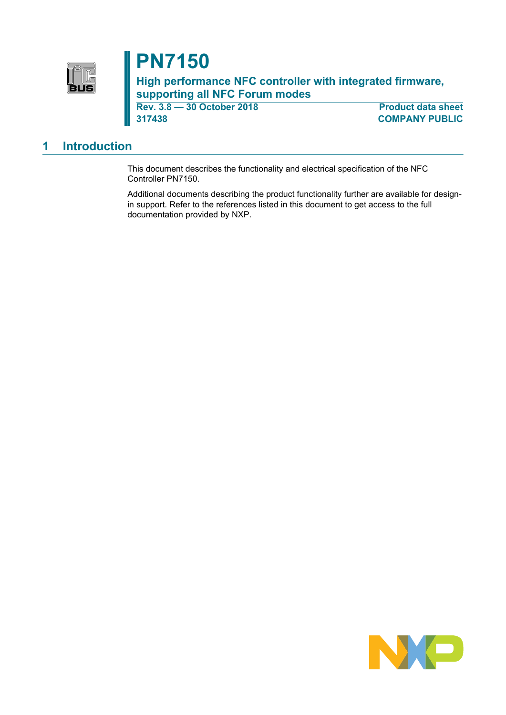

# **PN7150**

**High performance NFC controller with integrated firmware, supporting all NFC Forum modes**

**Rev. 3.8 — 30 October 2018 Product data sheet 317438 COMPANY PUBLIC**

### <span id="page-0-0"></span>**1 Introduction**

This document describes the functionality and electrical specification of the NFC Controller PN7150.

Additional documents describing the product functionality further are available for designin support. Refer to the references listed in this document to get access to the full documentation provided by NXP.

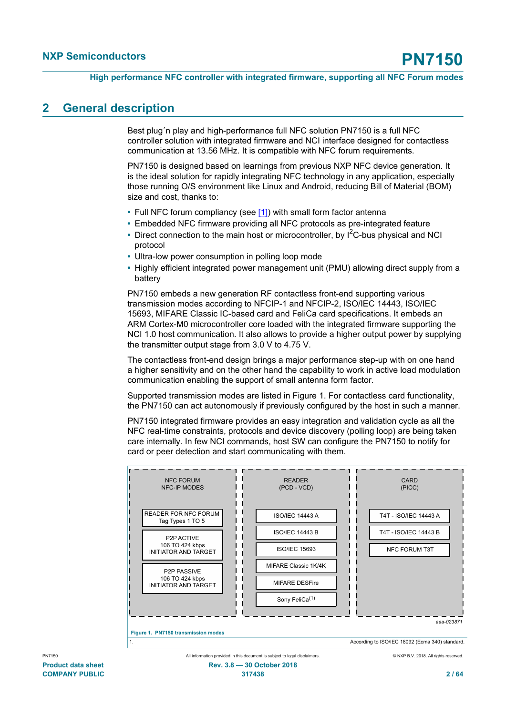### <span id="page-1-0"></span>**2 General description**

Best plug´n play and high-performance full NFC solution PN7150 is a full NFC controller solution with integrated firmware and NCI interface designed for contactless communication at 13.56 MHz. It is compatible with NFC forum requirements.

PN7150 is designed based on learnings from previous NXP NFC device generation. It is the ideal solution for rapidly integrating NFC technology in any application, especially those running O/S environment like Linux and Android, reducing Bill of Material (BOM) size and cost, thanks to:

- **•** Full NFC forum compliancy (see [\[1\]](#page-57-0)) with small form factor antenna
- **•** Embedded NFC firmware providing all NFC protocols as pre-integrated feature
- Direct connection to the main host or microcontroller, by I<sup>2</sup>C-bus physical and NCI protocol
- **•** Ultra-low power consumption in polling loop mode
- **•** Highly efficient integrated power management unit (PMU) allowing direct supply from a battery

PN7150 embeds a new generation RF contactless front-end supporting various transmission modes according to NFCIP-1 and NFCIP-2, ISO/IEC 14443, ISO/IEC 15693, MIFARE Classic IC-based card and FeliCa card specifications. It embeds an ARM Cortex-M0 microcontroller core loaded with the integrated firmware supporting the NCI 1.0 host communication. It also allows to provide a higher output power by supplying the transmitter output stage from 3.0 V to 4.75 V.

The contactless front-end design brings a major performance step-up with on one hand a higher sensitivity and on the other hand the capability to work in active load modulation communication enabling the support of small antenna form factor.

Supported transmission modes are listed in Figure 1. For contactless card functionality, the PN7150 can act autonomously if previously configured by the host in such a manner.

PN7150 integrated firmware provides an easy integration and validation cycle as all the NFC real-time constraints, protocols and device discovery (polling loop) are being taken care internally. In few NCI commands, host SW can configure the PN7150 to notify for card or peer detection and start communicating with them.

<span id="page-1-1"></span>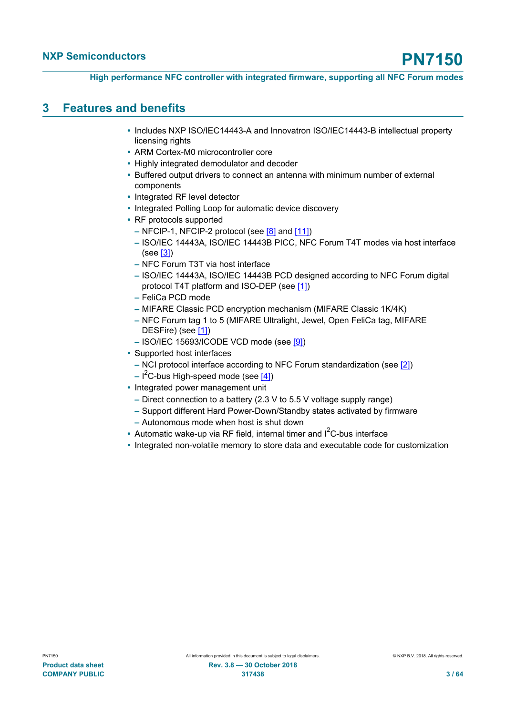### <span id="page-2-0"></span>**3 Features and benefits**

- **•** Includes NXP ISO/IEC14443-A and Innovatron ISO/IEC14443-B intellectual property licensing rights
- **•** ARM Cortex-M0 microcontroller core
- **•** Highly integrated demodulator and decoder
- **•** Buffered output drivers to connect an antenna with minimum number of external components
- **•** Integrated RF level detector
- **•** Integrated Polling Loop for automatic device discovery
- **•** RF protocols supported
	- **–** NFCIP-1, NFCIP-2 protocol (see [\[8\]](#page-57-1) and [\[11\]\)](#page-57-2)
	- **–** ISO/IEC 14443A, ISO/IEC 14443B PICC, NFC Forum T4T modes via host interface (see [\[3\]](#page-57-3))
	- **–** NFC Forum T3T via host interface
	- **–** ISO/IEC 14443A, ISO/IEC 14443B PCD designed according to NFC Forum digital protocol T4T platform and ISO-DEP (see [\[1\]](#page-57-0))
	- **–** FeliCa PCD mode
	- **–** MIFARE Classic PCD encryption mechanism (MIFARE Classic 1K/4K)
	- **–** NFC Forum tag 1 to 5 (MIFARE Ultralight, Jewel, Open FeliCa tag, MIFARE DESFire) (see [\[1\]](#page-57-0))
	- **–** ISO/IEC 15693/ICODE VCD mode (see [\[9\]](#page-57-4))
- **•** Supported host interfaces
	- **–** NCI protocol interface according to NFC Forum standardization (see [\[2\]](#page-57-5))
	- **–** I <sup>2</sup>C-bus High-speed mode (see [\[4\]](#page-57-6))
- **•** Integrated power management unit
	- **–** Direct connection to a battery (2.3 V to 5.5 V voltage supply range)
	- **–** Support different Hard Power-Down/Standby states activated by firmware
	- **–** Autonomous mode when host is shut down
- Automatic wake-up via RF field, internal timer and  $I^2C$ -bus interface
- **•** Integrated non-volatile memory to store data and executable code for customization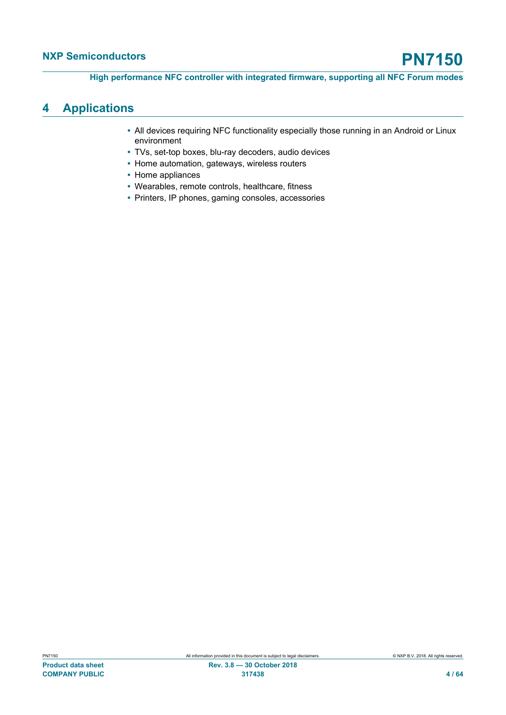### <span id="page-3-0"></span>**4 Applications**

- **•** All devices requiring NFC functionality especially those running in an Android or Linux environment
- **•** TVs, set-top boxes, blu-ray decoders, audio devices
- **•** Home automation, gateways, wireless routers
- **•** Home appliances
- **•** Wearables, remote controls, healthcare, fitness
- **•** Printers, IP phones, gaming consoles, accessories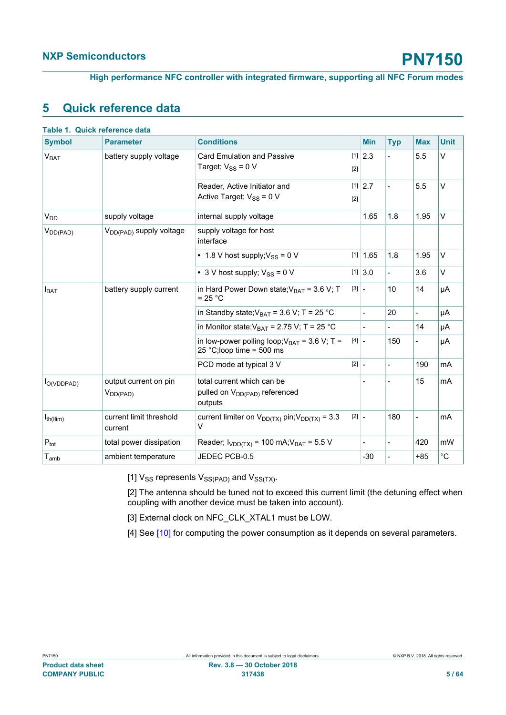<span id="page-4-0"></span>**High performance NFC controller with integrated firmware, supporting all NFC Forum modes**

### <span id="page-4-1"></span>**5 Quick reference data**

| <b>Symbol</b>               | Table 1. Quick reference data<br><b>Parameter</b> | <b>Conditions</b>                                                                  |                                     | <b>Min</b>                          |                          | <b>Max</b>     | <b>Unit</b> |
|-----------------------------|---------------------------------------------------|------------------------------------------------------------------------------------|-------------------------------------|-------------------------------------|--------------------------|----------------|-------------|
|                             |                                                   |                                                                                    |                                     |                                     | <b>Typ</b>               |                |             |
| V <sub>BAT</sub>            | battery supply voltage                            | <b>Card Emulation and Passive</b>                                                  |                                     | $[1]$ 2.3                           | L,                       | 5.5            | V           |
|                             |                                                   | Target; $V_{SS}$ = 0 V                                                             | $[2]$                               |                                     |                          |                |             |
|                             |                                                   | Reader, Active Initiator and                                                       |                                     | $[1]$ 2.7                           |                          | 5.5            | $\vee$      |
|                             |                                                   | Active Target; $V_{SS} = 0$ V                                                      | $[2]$                               |                                     |                          |                |             |
| <b>V<sub>DD</sub></b>       | supply voltage                                    | internal supply voltage                                                            |                                     | 1.65                                | 1.8                      | 1.95           | $\vee$      |
| $V_{DD(PAD)}$               | V <sub>DD(PAD)</sub> supply voltage               | supply voltage for host<br>interface                                               |                                     |                                     |                          |                |             |
|                             |                                                   | • 1.8 V host supply; $V_{SS}$ = 0 V                                                |                                     | $[1]$ 1.65                          | 1.8                      | 1.95           | V           |
|                             |                                                   | • 3 V host supply; $V_{SS} = 0$ V                                                  |                                     | $[1]$ 3.0                           | $\overline{\phantom{0}}$ | 3.6            | V           |
| $I_{BAT}$                   | battery supply current                            | in Hard Power Down state; $V_{BAT}$ = 3.6 V; T<br>$= 25 °C$                        |                                     | $\begin{bmatrix} 3 \end{bmatrix}$ – | 10                       | 14             | μA          |
|                             |                                                   | in Standby state; $V_{BAT}$ = 3.6 V; T = 25 °C                                     |                                     | $\frac{1}{2}$                       | 20                       | $\overline{a}$ | μA          |
|                             |                                                   | in Monitor state; $V_{BAT}$ = 2.75 V; T = 25 °C                                    |                                     | $\overline{\phantom{a}}$            | $\overline{\phantom{0}}$ | 14             | μA          |
|                             |                                                   | in low-power polling loop; $V_{BAT}$ = 3.6 V; T =<br>25 °C;loop time = 500 ms      | $[4]$ –                             |                                     | 150                      | $\overline{a}$ | μA          |
|                             |                                                   | PCD mode at typical 3 V                                                            | $\begin{bmatrix} 2 \end{bmatrix}$ . |                                     |                          | 190            | mA          |
| $I_{O(VDDPAD)}$             | output current on pin<br>$V_{DD(PAD)}$            | total current which can be<br>pulled on V <sub>DD(PAD)</sub> referenced<br>outputs |                                     |                                     |                          | 15             | mA          |
| $I_{th(IIim)}$              | current limit threshold<br>current                | current limiter on $V_{DD(TX)}$ pin; $V_{DD(TX)} = 3.3$<br>$\vee$                  |                                     | $[2]$ $\overline{\phantom{a}}$      | 180                      | $\overline{a}$ | mA          |
| $P_{\text{tot}}$            | total power dissipation                           | Reader; $I_{VDD(TX)} = 100$ mA; $V_{BAT} = 5.5$ V                                  |                                     | $\overline{a}$                      |                          | 420            | mW          |
| $\mathsf{T}_{\mathsf{amb}}$ | ambient temperature                               | JEDEC PCB-0.5                                                                      |                                     | $-30$                               |                          | $+85$          | $^{\circ}C$ |

[1]  $V_{SS}$  represents  $V_{SS(PAD)}$  and  $V_{SS(TX)}$ .

[2] The antenna should be tuned not to exceed this current limit (the detuning effect when coupling with another device must be taken into account).

[3] External clock on NFC\_CLK\_XTAL1 must be LOW.

[4] See [\[10\]](#page-57-7) for computing the power consumption as it depends on several parameters.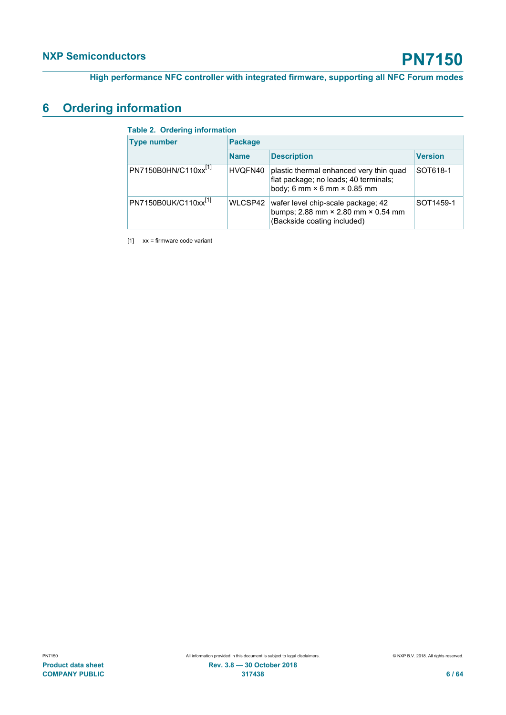### <span id="page-5-2"></span>**6 Ordering information**

<span id="page-5-1"></span><span id="page-5-0"></span>

| <b>Table 2. Ordering information</b> |                |                                                                                                                               |                |  |  |  |
|--------------------------------------|----------------|-------------------------------------------------------------------------------------------------------------------------------|----------------|--|--|--|
| <b>Type number</b>                   | <b>Package</b> |                                                                                                                               |                |  |  |  |
|                                      | <b>Name</b>    | <b>Description</b>                                                                                                            | <b>Version</b> |  |  |  |
| PN7150B0HN/C110xx <sup>[1]</sup>     | HVQFN40        | plastic thermal enhanced very thin quad<br>flat package; no leads; 40 terminals;<br>body; 6 mm $\times$ 6 mm $\times$ 0.85 mm | SOT618-1       |  |  |  |
| PN7150B0UK/C110xx <sup>[1]</sup>     | WLCSP42        | wafer level chip-scale package; 42<br>bumps; 2.88 mm × 2.80 mm × 0.54 mm<br>(Backside coating included)                       | SOT1459-1      |  |  |  |

[1] xx = firmware code variant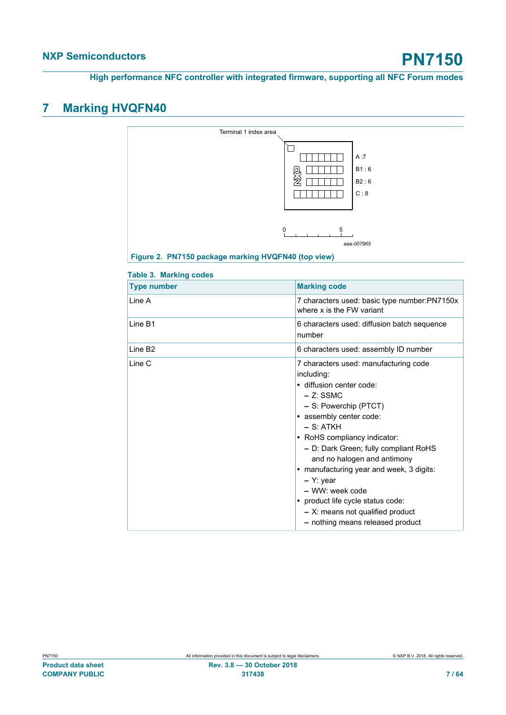**High performance NFC controller with integrated firmware, supporting all NFC Forum modes**

# <span id="page-6-2"></span>**7 Marking HVQFN40**

<span id="page-6-1"></span>

|                               | Terminal 1 index area                                                           |
|-------------------------------|---------------------------------------------------------------------------------|
|                               | A:7<br>B1:6<br>B2:6<br>C:8                                                      |
|                               | 5<br>0<br>aaa-007965<br>Figure 2. PN7150 package marking HVQFN40 (top view)     |
| <b>Table 3. Marking codes</b> |                                                                                 |
| <b>Type number</b>            | <b>Marking code</b>                                                             |
| Line A                        | 7 characters used: basic type number:PN7150x<br>where x is the FW variant       |
| I ine B1                      | 6 characters used: diffusion batch sequence<br>number                           |
| Line B <sub>2</sub>           | 6 characters used: assembly ID number                                           |
| Line C                        | 7 characters used: manufacturing code<br>including:<br>· diffusion center code: |

<span id="page-6-0"></span>

| .ine B1 | 6 characters used: diffusion batch sequence<br>number                                                                                                                                                                                                                                                                                                                                                                                                                     |
|---------|---------------------------------------------------------------------------------------------------------------------------------------------------------------------------------------------------------------------------------------------------------------------------------------------------------------------------------------------------------------------------------------------------------------------------------------------------------------------------|
| ine B2. | 6 characters used: assembly ID number                                                                                                                                                                                                                                                                                                                                                                                                                                     |
| .ine C  | 7 characters used: manufacturing code<br>including:<br>· diffusion center code:<br>$-$ Z: SSMC<br>- S: Powerchip (PTCT)<br>• assembly center code:<br>$-$ S: ATKH<br>• RoHS compliancy indicator:<br>- D: Dark Green; fully compliant RoHS<br>and no halogen and antimony<br>• manufacturing year and week, 3 digits:<br>$-$ Y: year<br>$-$ WW: week code<br>• product life cycle status code:<br>$- X$ : means not qualified product<br>- nothing means released product |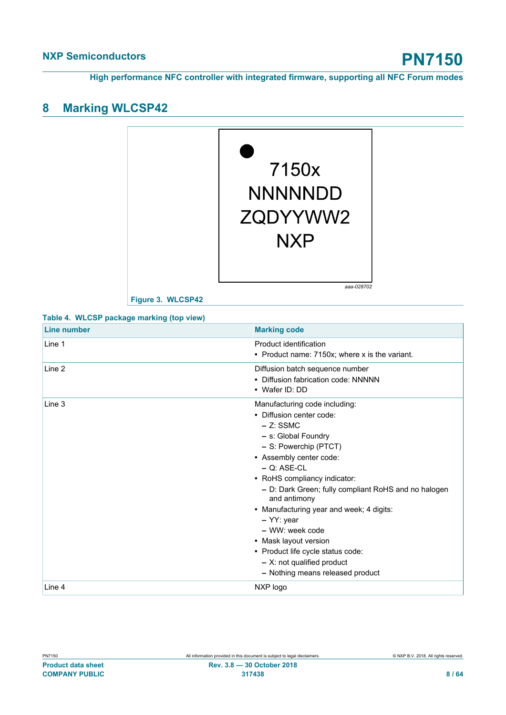### <span id="page-7-2"></span>**8 Marking WLCSP42**

<span id="page-7-1"></span>

<span id="page-7-0"></span>**Figure 3. WLCSP42**

| Line number | <b>Marking code</b>                                                                                                                                                                                                                                                                                                                                                                                                                                                                           |
|-------------|-----------------------------------------------------------------------------------------------------------------------------------------------------------------------------------------------------------------------------------------------------------------------------------------------------------------------------------------------------------------------------------------------------------------------------------------------------------------------------------------------|
| Line 1      | Product identification<br>• Product name: 7150x; where x is the variant.                                                                                                                                                                                                                                                                                                                                                                                                                      |
| Line 2      | Diffusion batch sequence number<br>• Diffusion fabrication code: NNNNN<br>• Wafer ID: DD                                                                                                                                                                                                                                                                                                                                                                                                      |
| Line 3      | Manufacturing code including:<br>• Diffusion center code:<br>$-$ Z: SSMC<br>- s: Global Foundry<br>- S: Powerchip (PTCT)<br>• Assembly center code:<br>$-$ Q: ASE-CL<br>• RoHS compliancy indicator:<br>- D: Dark Green; fully compliant RoHS and no halogen<br>and antimony<br>• Manufacturing year and week; 4 digits:<br>$-$ YY: year<br>- WW: week code<br>• Mask layout version<br>• Product life cycle status code:<br>$-$ X: not qualified product<br>- Nothing means released product |
| Line 4      | NXP logo                                                                                                                                                                                                                                                                                                                                                                                                                                                                                      |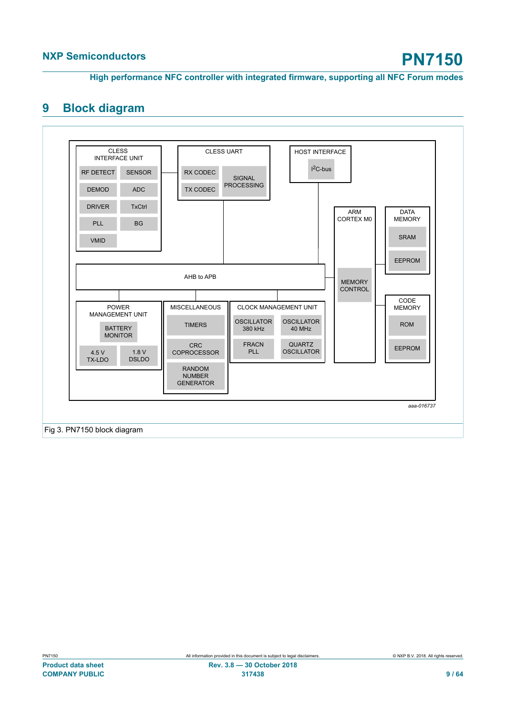### <span id="page-8-0"></span>**9 Block diagram**

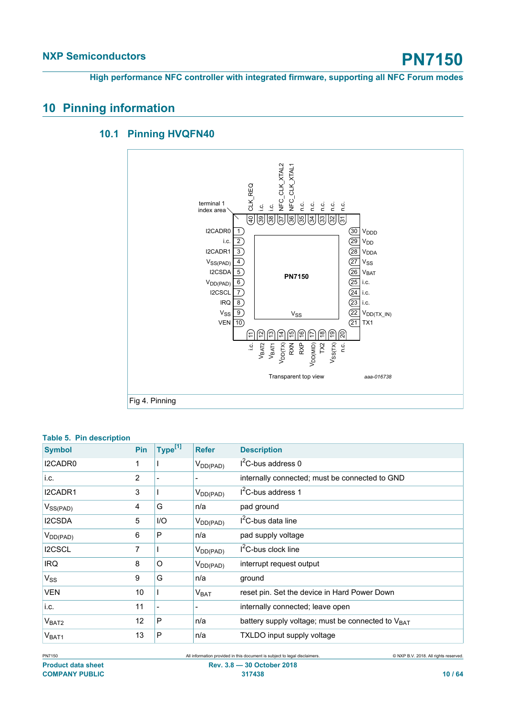### <span id="page-9-1"></span>**10 Pinning information**

#### <span id="page-9-2"></span>NFC\_CLK\_XTAL2 NFC\_CLK\_XTAL2 NFC\_CLK\_XTAL1 NFC\_CLK\_XTAL1 CLK\_REQ terminal 1 n.c. i.c. i.c. o.c.<br>c.c.c index area  $\overline{40}$ ଛା।ଞା 원||7||정||정||정||원| 19 |<br>19 |<br>19 |<br>19 |<br>19 | I2CADR0  $\overline{1}$  $\overline{30}$ V<sub>DDD</sub> i.c.  $\overline{2}$  $(29)$ V<sub>DD</sub> I2CADR1  $\overline{3}$  $(28)$ V<sub>DDA</sub> VSS(PAD) 4  $\overline{\left(27\right)}$ V<sub>SS</sub> I2CSDA  $\overline{5}$  $(26)$ **V<sub>BAT</sub> PN7150**  $\overline{25}$ i.c.  $V_{DD(PAD)}$  6  $(24)$ i.c. 7 I2CSCL  $\overline{23}$  $\vert$  i.c. 8 IRQ V<sub>SS</sub> Vss <u>| 9</u> 22 V<sub>DD(TX\_IN)</sub> VEN **|** 10 TX1 21 (는 (ෆ 일 후] [뿌] [뿌] [뿌] [뿌] [뭐]  $V$ DD $(TX)$ i.c. VBAT2 VBAT1 TX2 RXP RXN VDD(MID) Vssrx)<br>n.c.

Transparent top view

### **10.1 Pinning HVQFN40**

<span id="page-9-0"></span>Fig 4. Pinning

| Table 5. PIII description |            |                     |                  |                                                   |
|---------------------------|------------|---------------------|------------------|---------------------------------------------------|
| <b>Symbol</b>             | <b>Pin</b> | Type <sup>[1]</sup> | <b>Refer</b>     | <b>Description</b>                                |
| I2CADR0                   |            |                     | $V_{DD(PAD)}$    | $I2C$ -bus address 0                              |
| i.c.                      | 2          |                     |                  | internally connected; must be connected to GND    |
| I2CADR1                   | 3          |                     | $V_{DD(PAD)}$    | $I2C$ -bus address 1                              |
| $V_{SS(PAD)}$             | 4          | G                   | n/a              | pad ground                                        |
| <b>I2CSDA</b>             | 5          | I/O                 | $V_{DD(PAD)}$    | $I2C$ -bus data line                              |
| $V_{DD(PAD)}$             | 6          | P                   | n/a              | pad supply voltage                                |
| <b>I2CSCL</b>             | 7          |                     | $V_{DD(PAD)}$    | I <sup>2</sup> C-bus clock line                   |
| IRQ.                      | 8          | O                   | $V_{DD(PAD)}$    | interrupt request output                          |
| $V_{SS}$                  | 9          | G                   | n/a              | ground                                            |
| <b>VEN</b>                | 10         |                     | V <sub>BAT</sub> | reset pin. Set the device in Hard Power Down      |
| i.c.                      | 11         |                     |                  | internally connected; leave open                  |
| V <sub>BAT2</sub>         | 12         | P                   | n/a              | battery supply voltage; must be connected to VBAT |
| V <sub>BAT1</sub>         | 13         | P                   | n/a              | TXLDO input supply voltage                        |

#### **Table 5. Pin description**

*aaa-016738*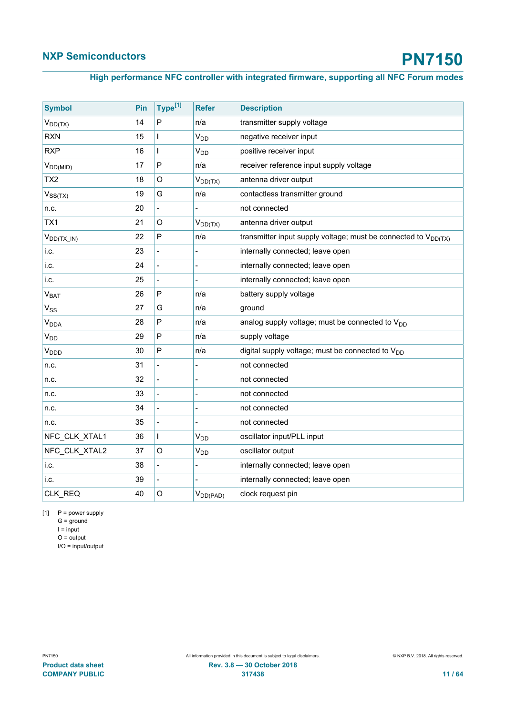### <span id="page-10-0"></span>**High performance NFC controller with integrated firmware, supporting all NFC Forum modes**

| <b>Symbol</b>          | Pin | Type <sup>[1]</sup>      | <b>Refer</b>               | <b>Description</b>                                                  |
|------------------------|-----|--------------------------|----------------------------|---------------------------------------------------------------------|
| $V_{DD(TX)}$           | 14  | P                        | n/a                        | transmitter supply voltage                                          |
| <b>RXN</b>             | 15  | L                        | V <sub>DD</sub>            | negative receiver input                                             |
| <b>RXP</b>             | 16  | L                        | V <sub>DD</sub>            | positive receiver input                                             |
| $V_{DD(MID)}$          | 17  | P                        | n/a                        | receiver reference input supply voltage                             |
| TX <sub>2</sub>        | 18  | $\circ$                  | $V_{DD(TX)}$               | antenna driver output                                               |
| $V_{SS(TX)}$           | 19  | G                        | n/a                        | contactless transmitter ground                                      |
| n.c.                   | 20  | $\blacksquare$           |                            | not connected                                                       |
| TX1                    | 21  | $\circ$                  | $V_{DD(TX)}$               | antenna driver output                                               |
| $V_{DD(TX_1 N)}$       | 22  | $\mathsf{P}$             | n/a                        | transmitter input supply voltage; must be connected to $V_{DD(TX)}$ |
| i.c.                   | 23  |                          |                            | internally connected; leave open                                    |
| i.c.                   | 24  |                          |                            | internally connected; leave open                                    |
| i.c.                   | 25  | $\frac{1}{2}$            | $\overline{a}$             | internally connected; leave open                                    |
| $V_{BAT}$              | 26  | P                        | n/a                        | battery supply voltage                                              |
| V <sub>SS</sub>        | 27  | G                        | n/a                        | ground                                                              |
| <b>V<sub>DDA</sub></b> | 28  | P                        | n/a                        | analog supply voltage; must be connected to $V_{DD}$                |
| <b>V<sub>DD</sub></b>  | 29  | P                        | n/a                        | supply voltage                                                      |
| <b>V<sub>DDD</sub></b> | 30  | P                        | n/a                        | digital supply voltage; must be connected to V <sub>DD</sub>        |
| n.c.                   | 31  | $\overline{a}$           |                            | not connected                                                       |
| n.c.                   | 32  |                          |                            | not connected                                                       |
| n.c.                   | 33  |                          |                            | not connected                                                       |
| n.c.                   | 34  | $\overline{\phantom{0}}$ | $\overline{a}$             | not connected                                                       |
| n.c.                   | 35  |                          |                            | not connected                                                       |
| NFC_CLK_XTAL1          | 36  | $\mathbf{I}$             | <b>V<sub>DD</sub></b>      | oscillator input/PLL input                                          |
| NFC CLK XTAL2          | 37  | $\circ$                  | $\mathsf{V}_{\mathsf{DD}}$ | oscillator output                                                   |
| i.c.                   | 38  | $\overline{a}$           |                            | internally connected; leave open                                    |
| i.c.                   | 39  | $\overline{a}$           |                            | internally connected; leave open                                    |
| CLK_REQ                | 40  | O                        | $V_{DD(PAD)}$              | clock request pin                                                   |

 $[1]$  P = power supply

 $G =$  ground  $I = input$  $O =$  output

I/O = input/output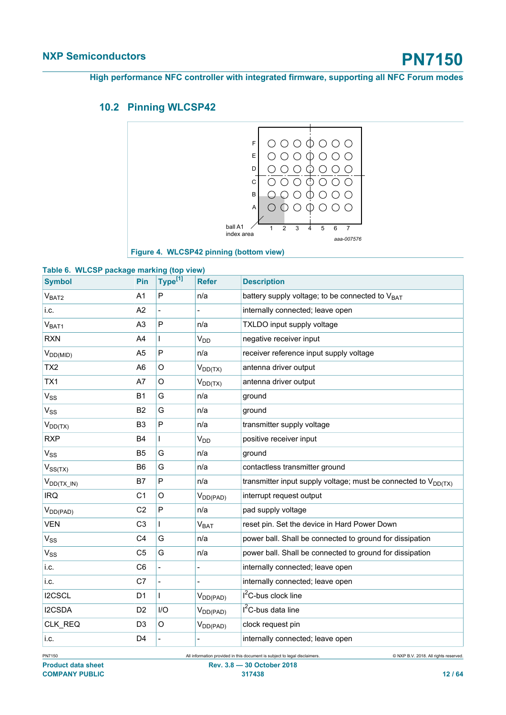### **10.2 Pinning WLCSP42**

<span id="page-11-2"></span><span id="page-11-1"></span>

<span id="page-11-0"></span>

| <b>Symbol</b>     | Pin            | Type <sup>[1]</sup> | <b>Refer</b>           | <b>Description</b>                                                  |
|-------------------|----------------|---------------------|------------------------|---------------------------------------------------------------------|
| V <sub>BAT2</sub> | A1             | $\mathsf{P}$        | n/a                    | battery supply voltage; to be connected to V <sub>BAT</sub>         |
| i.c.              | A2             |                     |                        | internally connected; leave open                                    |
| V <sub>BAT1</sub> | A <sub>3</sub> | P                   | n/a                    | TXLDO input supply voltage                                          |
| <b>RXN</b>        | A4             |                     | V <sub>DD</sub>        | negative receiver input                                             |
| $V_{DD(MID)}$     | A <sub>5</sub> | P                   | n/a                    | receiver reference input supply voltage                             |
| TX <sub>2</sub>   | A <sub>6</sub> | O                   | $V_{DD(TX)}$           | antenna driver output                                               |
| TX1               | A7             | O                   | $V_{DD(TX)}$           | antenna driver output                                               |
| $V_{SS}$          | <b>B1</b>      | G                   | n/a                    | ground                                                              |
| $V_{SS}$          | <b>B2</b>      | G                   | n/a                    | ground                                                              |
| $V_{DD(TX)}$      | B <sub>3</sub> | P                   | n/a                    | transmitter supply voltage                                          |
| <b>RXP</b>        | <b>B4</b>      | $\mathbf{I}$        | <b>V<sub>DD</sub></b>  | positive receiver input                                             |
| V <sub>SS</sub>   | B <sub>5</sub> | G                   | n/a                    | ground                                                              |
| $V_{SS(TX)}$      | B <sub>6</sub> | G                   | n/a                    | contactless transmitter ground                                      |
| $V_{DD(TX_1 N)}$  | Β7             | $\mathsf{P}$        | n/a                    | transmitter input supply voltage; must be connected to $V_{DD(TX)}$ |
| <b>IRQ</b>        | C <sub>1</sub> | $\circ$             | $V_{DD(PAD)}$          | interrupt request output                                            |
| $V_{DD(PAD)}$     | C <sub>2</sub> | P                   | n/a                    | pad supply voltage                                                  |
| <b>VEN</b>        | C <sub>3</sub> |                     | <b>V<sub>BAT</sub></b> | reset pin. Set the device in Hard Power Down                        |
| $V_{SS}$          | C <sub>4</sub> | G                   | n/a                    | power ball. Shall be connected to ground for dissipation            |
| $V_{SS}$          | C <sub>5</sub> | G                   | n/a                    | power ball. Shall be connected to ground for dissipation            |
| i.c.              | C <sub>6</sub> |                     |                        | internally connected; leave open                                    |
| i.c.              | C7             |                     |                        | internally connected; leave open                                    |
| I2CSCL            | D1             | $\mathbf{I}$        | $V_{DD(PAD)}$          | $I2C$ -bus clock line                                               |
| I2CSDA            | D <sub>2</sub> | 1/O                 | $V_{DD(PAD)}$          | $I2C$ -bus data line                                                |
| CLK_REQ           | D3             | O                   | $V_{DD(PAD)}$          | clock request pin                                                   |
| i.c.              | D <sub>4</sub> |                     |                        | internally connected; leave open                                    |

**Product data sheet Rev. 3.8 — 30 October 2018 COMPANY PUBLIC 317438 12 / 64**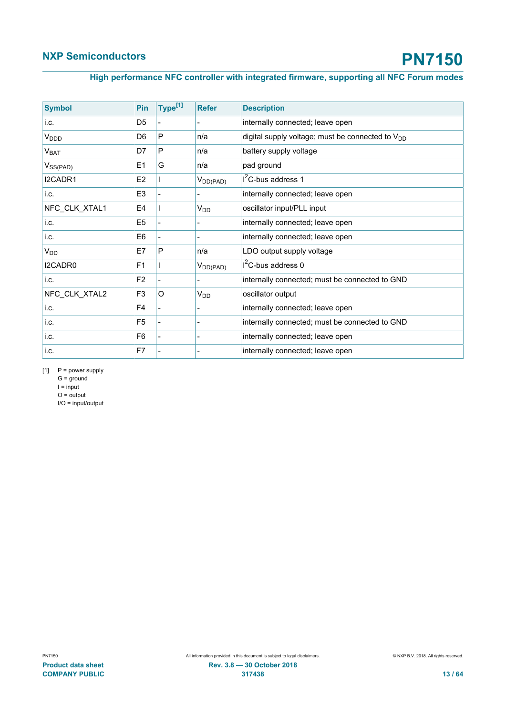### <span id="page-12-0"></span>**High performance NFC controller with integrated firmware, supporting all NFC Forum modes**

| <b>Symbol</b>    | Pin            | Type <sup>[1]</sup>      | <b>Refer</b>          | <b>Description</b>                                           |
|------------------|----------------|--------------------------|-----------------------|--------------------------------------------------------------|
| i.c.             | D <sub>5</sub> |                          |                       | internally connected; leave open                             |
| V <sub>DDD</sub> | D <sub>6</sub> | P                        | n/a                   | digital supply voltage; must be connected to V <sub>DD</sub> |
| $V_{BAT}$        | D7             | P                        | n/a                   | battery supply voltage                                       |
| $V_{SS(PAD)}$    | E <sub>1</sub> | G                        | n/a                   | pad ground                                                   |
| I2CADR1          | E <sub>2</sub> |                          | $V_{DD(PAD)}$         | $I2C-bus$ address 1                                          |
| li.c.            | E <sub>3</sub> |                          |                       | internally connected; leave open                             |
| NFC_CLK_XTAL1    | E4             |                          | <b>V<sub>DD</sub></b> | oscillator input/PLL input                                   |
| i.c.             | E <sub>5</sub> |                          |                       | internally connected; leave open                             |
| i.c.             | E <sub>6</sub> |                          |                       | internally connected; leave open                             |
| V <sub>DD</sub>  | E7             | P                        | n/a                   | LDO output supply voltage                                    |
| I2CADR0          | F <sub>1</sub> |                          | $V_{DD(PAD)}$         | $I2C$ -bus address 0                                         |
| li.c.            | F <sub>2</sub> |                          |                       | internally connected; must be connected to GND               |
| NFC_CLK_XTAL2    | F <sub>3</sub> | $\circ$                  | $V_{DD}$              | oscillator output                                            |
| i.c.             | F4             | $\overline{\phantom{0}}$ |                       | internally connected; leave open                             |
| i.c.             | F <sub>5</sub> |                          |                       | internally connected; must be connected to GND               |
| i.c.             | F <sub>6</sub> |                          |                       | internally connected; leave open                             |
| li.c.            | F7             |                          |                       | internally connected; leave open                             |

 $[1]$  P = power supply

 $G =$  ground  $I = input$ 

 $O = output$ I/O = input/output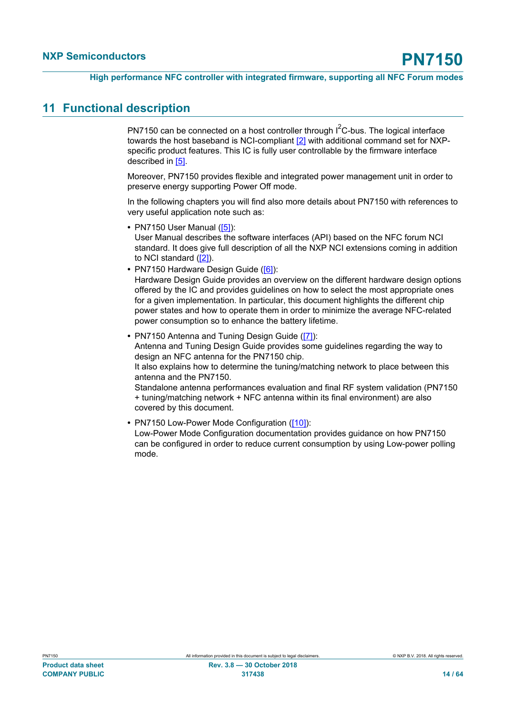### <span id="page-13-0"></span>**11 Functional description**

PN7150 can be connected on a host controller through  $I^2C$ -bus. The logical interface towards the host baseband is NCI-compliant [\[2\]](#page-57-5) with additional command set for NXPspecific product features. This IC is fully user controllable by the firmware interface described in [\[5\].](#page-57-8)

Moreover, PN7150 provides flexible and integrated power management unit in order to preserve energy supporting Power Off mode.

In the following chapters you will find also more details about PN7150 with references to very useful application note such as:

**•** PN7150 User Manual [\(\[5\]](#page-57-8)):

User Manual describes the software interfaces (API) based on the NFC forum NCI standard. It does give full description of all the NXP NCI extensions coming in addition to NCI standard ([\[2\]\)](#page-57-5).

**•** PN7150 Hardware Design Guide [\(\[6\]](#page-57-9)):

Hardware Design Guide provides an overview on the different hardware design options offered by the IC and provides guidelines on how to select the most appropriate ones for a given implementation. In particular, this document highlights the different chip power states and how to operate them in order to minimize the average NFC-related power consumption so to enhance the battery lifetime.

- **•** PN7150 Antenna and Tuning Design Guide ([\[7\]\)](#page-57-10): Antenna and Tuning Design Guide provides some guidelines regarding the way to design an NFC antenna for the PN7150 chip. It also explains how to determine the tuning/matching network to place between this antenna and the PN7150. Standalone antenna performances evaluation and final RF system validation (PN7150 + tuning/matching network + NFC antenna within its final environment) are also covered by this document.
- **•** PN7150 Low-Power Mode Configuration [\(\[10\]](#page-57-7)): Low-Power Mode Configuration documentation provides guidance on how PN7150 can be configured in order to reduce current consumption by using Low-power polling mode.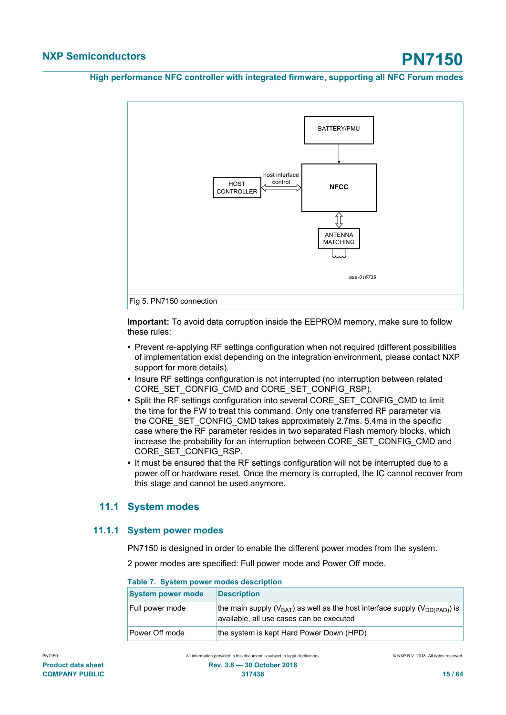

**Important:** To avoid data corruption inside the EEPROM memory, make sure to follow these rules:

- **•** Prevent re-applying RF settings configuration when not required (different possibilities of implementation exist depending on the integration environment, please contact NXP support for more details).
- **•** Insure RF settings configuration is not interrupted (no interruption between related CORE\_SET\_CONFIG\_CMD and CORE\_SET\_CONFIG\_RSP).
- **•** Split the RF settings configuration into several CORE\_SET\_CONFIG\_CMD to limit the time for the FW to treat this command. Only one transferred RF parameter via the CORE\_SET\_CONFIG\_CMD takes approximately 2.7ms. 5.4ms in the specific case where the RF parameter resides in two separated Flash memory blocks, which increase the probability for an interruption between CORE\_SET\_CONFIG\_CMD and CORE\_SET\_CONFIG\_RSP.
- **•** It must be ensured that the RF settings configuration will not be interrupted due to a power off or hardware reset. Once the memory is corrupted, the IC cannot recover from this stage and cannot be used anymore.

### <span id="page-14-1"></span>**11.1 System modes**

#### **11.1.1 System power modes**

<span id="page-14-2"></span>PN7150 is designed in order to enable the different power modes from the system.

2 power modes are specified: Full power mode and Power Off mode.

<span id="page-14-0"></span>

| Table 7. System power modes description |                                                                                                                                     |  |  |  |  |
|-----------------------------------------|-------------------------------------------------------------------------------------------------------------------------------------|--|--|--|--|
| <b>System power mode</b>                | <b>Description</b>                                                                                                                  |  |  |  |  |
| Full power mode                         | the main supply ( $V_{BAT}$ ) as well as the host interface supply ( $V_{DD(PAD)}$ ) is<br>available, all use cases can be executed |  |  |  |  |
| Power Off mode                          | the system is kept Hard Power Down (HPD)                                                                                            |  |  |  |  |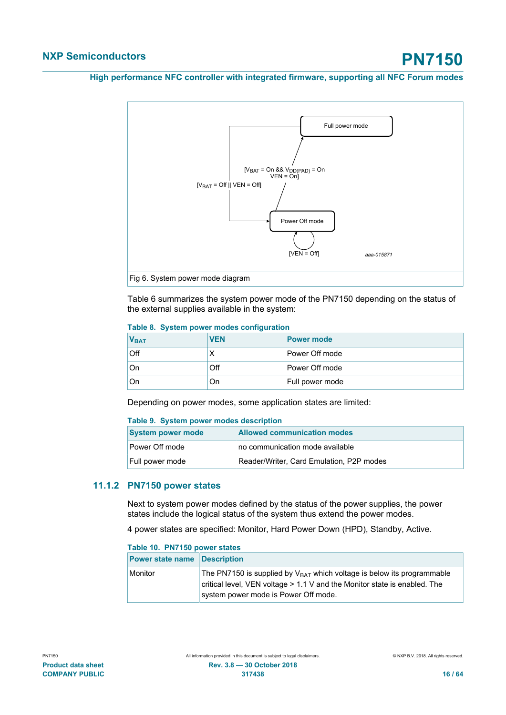

Table 6 summarizes the system power mode of the PN7150 depending on the status of the external supplies available in the system:

<span id="page-15-0"></span>

|  |  |  |  | Table 8. System power modes configuration |
|--|--|--|--|-------------------------------------------|
|--|--|--|--|-------------------------------------------|

| V <sub>BAT</sub> | <b>VEN</b> | <b>Power mode</b> |
|------------------|------------|-------------------|
| Off              |            | Power Off mode    |
| On               | Off        | Power Off mode    |
| On               | On         | Full power mode   |

Depending on power modes, some application states are limited:

#### <span id="page-15-1"></span>**Table 9. System power modes description**

| <b>System power mode</b> | <b>Allowed communication modes</b>       |
|--------------------------|------------------------------------------|
| Power Off mode           | no communication mode available          |
| Full power mode          | Reader/Writer, Card Emulation, P2P modes |

#### **11.1.2 PN7150 power states**

<span id="page-15-3"></span>Next to system power modes defined by the status of the power supplies, the power states include the logical status of the system thus extend the power modes.

4 power states are specified: Monitor, Hard Power Down (HPD), Standby, Active.

<span id="page-15-2"></span>

| Table 10. PN7150 power states       |                                                                                                                                                                                                           |  |
|-------------------------------------|-----------------------------------------------------------------------------------------------------------------------------------------------------------------------------------------------------------|--|
| <b>Power state name Description</b> |                                                                                                                                                                                                           |  |
| Monitor                             | The PN7150 is supplied by V <sub>BAT</sub> which voltage is below its programmable<br>critical level, VEN voltage $> 1.1$ V and the Monitor state is enabled. The<br>system power mode is Power Off mode. |  |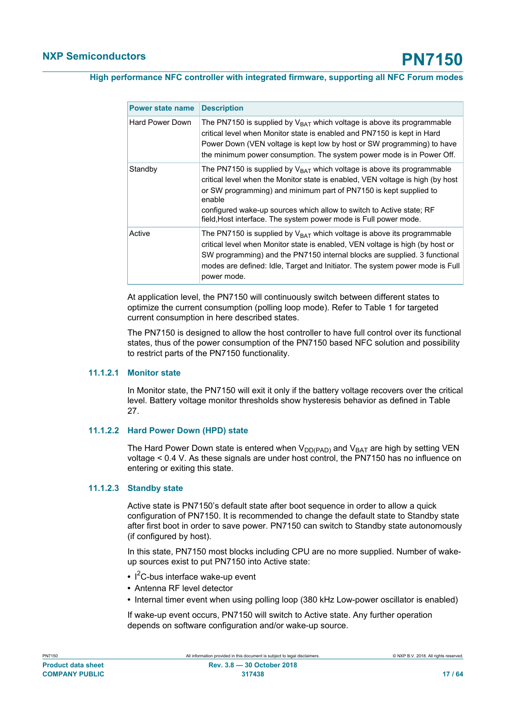| <b>Power state name</b> | <b>Description</b>                                                                                                                                                                                                                                                                                                                                                                       |
|-------------------------|------------------------------------------------------------------------------------------------------------------------------------------------------------------------------------------------------------------------------------------------------------------------------------------------------------------------------------------------------------------------------------------|
| Hard Power Down         | The PN7150 is supplied by $V_{BAT}$ which voltage is above its programmable<br>critical level when Monitor state is enabled and PN7150 is kept in Hard<br>Power Down (VEN voltage is kept low by host or SW programming) to have<br>the minimum power consumption. The system power mode is in Power Off.                                                                                |
| Standby                 | The PN7150 is supplied by $V_{BAT}$ which voltage is above its programmable<br>critical level when the Monitor state is enabled, VEN voltage is high (by host<br>or SW programming) and minimum part of PN7150 is kept supplied to<br>enable<br>configured wake-up sources which allow to switch to Active state; RF<br>field, Host interface. The system power mode is Full power mode. |
| Active                  | The PN7150 is supplied by $V_{BAT}$ which voltage is above its programmable<br>critical level when Monitor state is enabled, VEN voltage is high (by host or<br>SW programming) and the PN7150 internal blocks are supplied. 3 functional<br>modes are defined: Idle, Target and Initiator. The system power mode is Full<br>power mode.                                                 |

At application level, the PN7150 will continuously switch between different states to optimize the current consumption (polling loop mode). Refer to Table 1 for targeted current consumption in here described states.

The PN7150 is designed to allow the host controller to have full control over its functional states, thus of the power consumption of the PN7150 based NFC solution and possibility to restrict parts of the PN7150 functionality.

#### **11.1.2.1 Monitor state**

<span id="page-16-0"></span>In Monitor state, the PN7150 will exit it only if the battery voltage recovers over the critical level. Battery voltage monitor thresholds show hysteresis behavior as defined in Table 27.

#### **11.1.2.2 Hard Power Down (HPD) state**

<span id="page-16-1"></span>The Hard Power Down state is entered when  $V_{DD(PAD)}$  and  $V_{BAT}$  are high by setting VEN voltage < 0.4 V. As these signals are under host control, the PN7150 has no influence on entering or exiting this state.

#### **11.1.2.3 Standby state**

<span id="page-16-2"></span>Active state is PN7150's default state after boot sequence in order to allow a quick configuration of PN7150. It is recommended to change the default state to Standby state after first boot in order to save power. PN7150 can switch to Standby state autonomously (if configured by host).

In this state, PN7150 most blocks including CPU are no more supplied. Number of wakeup sources exist to put PN7150 into Active state:

- **•** I <sup>2</sup>C-bus interface wake-up event
- **•** Antenna RF level detector
- **•** Internal timer event when using polling loop (380 kHz Low-power oscillator is enabled)

If wake-up event occurs, PN7150 will switch to Active state. Any further operation depends on software configuration and/or wake-up source.

| .                         |
|---------------------------|
| <b>Product data sheet</b> |
| <b>COMPANY PUBLIC</b>     |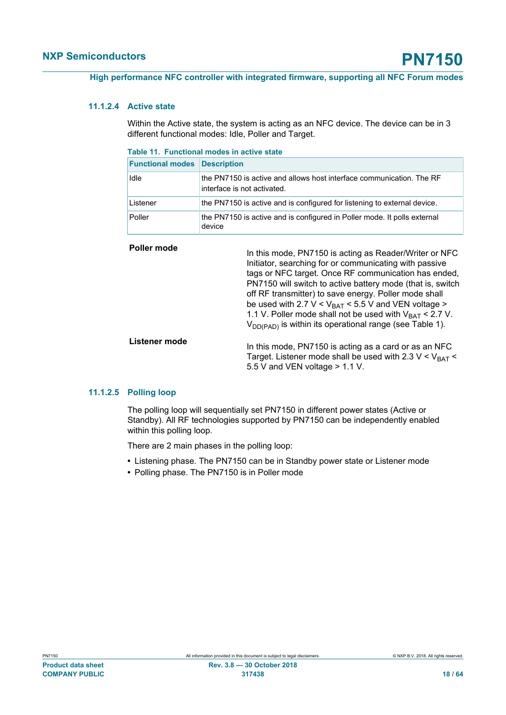#### **11.1.2.4 Active state**

<span id="page-17-1"></span>Within the Active state, the system is acting as an NFC device. The device can be in 3 different functional modes: Idle, Poller and Target.

<span id="page-17-0"></span>

| Table 11. Functional modes in active state |  |  |  |  |  |  |  |  |
|--------------------------------------------|--|--|--|--|--|--|--|--|
|--------------------------------------------|--|--|--|--|--|--|--|--|

| <b>Functional modes Description</b> |                                                                                                     |
|-------------------------------------|-----------------------------------------------------------------------------------------------------|
| <b>Idle</b>                         | the PN7150 is active and allows host interface communication. The RF<br>interface is not activated. |
| Listener                            | the PN7150 is active and is configured for listening to external device.                            |
| Poller                              | the PN7150 is active and is configured in Poller mode. It polls external<br>device                  |

| Poller mode   | In this mode, PN7150 is acting as Reader/Writer or NFC<br>Initiator, searching for or communicating with passive<br>tags or NFC target. Once RF communication has ended,<br>PN7150 will switch to active battery mode (that is, switch<br>off RF transmitter) to save energy. Poller mode shall<br>be used with 2.7 V < $V_{BAT}$ < 5.5 V and VEN voltage ><br>1.1 V. Poller mode shall not be used with $V_{BAT}$ < 2.7 V.<br>$V_{DD(PAD)}$ is within its operational range (see Table 1). |
|---------------|---------------------------------------------------------------------------------------------------------------------------------------------------------------------------------------------------------------------------------------------------------------------------------------------------------------------------------------------------------------------------------------------------------------------------------------------------------------------------------------------|
| Listener mode | In this mode, PN7150 is acting as a card or as an NFC<br>Target. Listener mode shall be used with 2.3 $V < V_{BAT} <$<br>5.5 V and VEN voltage $> 1.1$ V.                                                                                                                                                                                                                                                                                                                                   |

#### **11.1.2.5 Polling loop**

<span id="page-17-2"></span>The polling loop will sequentially set PN7150 in different power states (Active or Standby). All RF technologies supported by PN7150 can be independently enabled within this polling loop.

There are 2 main phases in the polling loop:

- **•** Listening phase. The PN7150 can be in Standby power state or Listener mode
- **•** Polling phase. The PN7150 is in Poller mode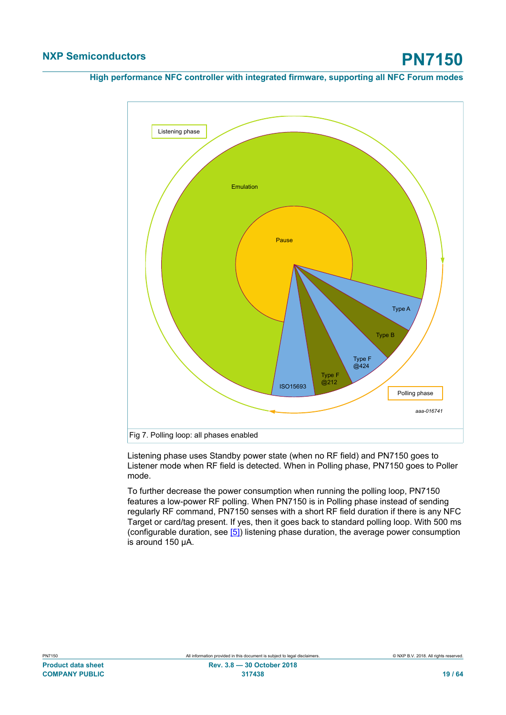

Listening phase uses Standby power state (when no RF field) and PN7150 goes to Listener mode when RF field is detected. When in Polling phase, PN7150 goes to Poller mode.

To further decrease the power consumption when running the polling loop, PN7150 features a low-power RF polling. When PN7150 is in Polling phase instead of sending regularly RF command, PN7150 senses with a short RF field duration if there is any NFC Target or card/tag present. If yes, then it goes back to standard polling loop. With 500 ms (configurable duration, see [\[5\]](#page-57-8)) listening phase duration, the average power consumption is around 150 μA.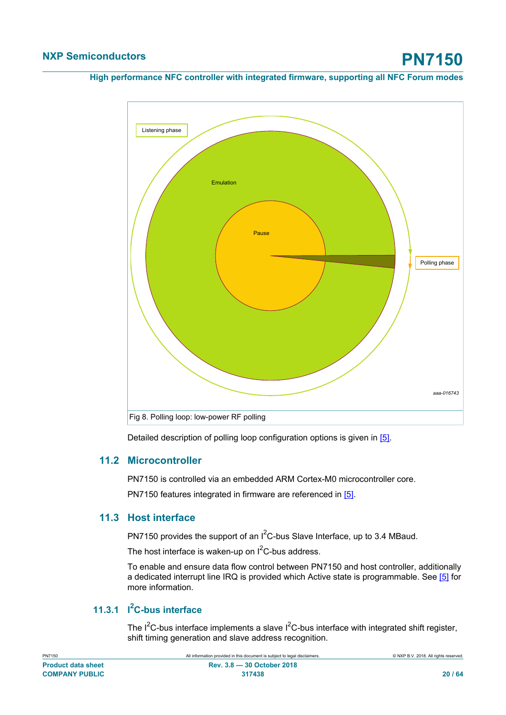

<span id="page-19-0"></span>Detailed description of polling loop configuration options is given in [\[5\]](#page-57-8).

### **11.2 Microcontroller**

PN7150 is controlled via an embedded ARM Cortex-M0 microcontroller core.

<span id="page-19-1"></span>PN7150 features integrated in firmware are referenced in [\[5\]](#page-57-8).

### **11.3 Host interface**

PN7150 provides the support of an I<sup>2</sup>C-bus Slave Interface, up to 3.4 MBaud.

The host interface is waken-up on  $I^2C$ -bus address.

To enable and ensure data flow control between PN7150 and host controller, additionally a dedicated interrupt line IRQ is provided which Active state is programmable. See [\[5\]](#page-57-8) for more information.

### **11.3.1 I <sup>2</sup>C-bus interface**

<span id="page-19-2"></span>The  $I^2C$ -bus interface implements a slave  $I^2C$ -bus interface with integrated shift register, shift timing generation and slave address recognition.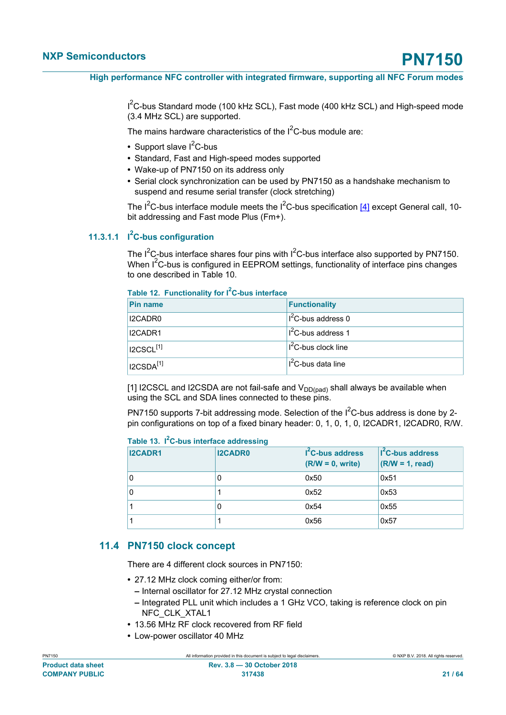I<sup>2</sup>C-bus Standard mode (100 kHz SCL), Fast mode (400 kHz SCL) and High-speed mode (3.4 MHz SCL) are supported.

The mains hardware characteristics of the  $I<sup>2</sup>C$ -bus module are:

- Support slave I<sup>2</sup>C-bus
- **•** Standard, Fast and High-speed modes supported
- **•** Wake-up of PN7150 on its address only
- **•** Serial clock synchronization can be used by PN7150 as a handshake mechanism to suspend and resume serial transfer (clock stretching)

The  $I^2C$ -bus interface module meets the  $I^2C$ -bus specification [\[4\]](#page-57-6) except General call, 10bit addressing and Fast mode Plus (Fm+).

### **11.3.1.1 I <sup>2</sup>C-bus configuration**

<span id="page-20-2"></span>The  $I^2C$ -bus interface shares four pins with  $I^2C$ -bus interface also supported by PN7150. When  $I^2C$ -bus is configured in EEPROM settings, functionality of interface pins changes to one described in Table 10.

#### <span id="page-20-0"></span>**Table 12. Functionality for I2C-bus interface**

| <b>Pin name</b>                   | <b>Functionality</b>            |
|-----------------------------------|---------------------------------|
| I2CADR0                           | I <sup>2</sup> C-bus address 0  |
| I2CADR1                           | I <sup>2</sup> C-bus address 1  |
| $\mid$ I2CSCL $^{[1]}$            | $II2C-bus clock line$           |
| $^\dagger$ I2CSDA $^{\text{[1]}}$ | Il <sup>2</sup> C-bus data line |

[1] I2CSCL and I2CSDA are not fail-safe and  $V_{DD (pad)}$  shall always be available when using the SCL and SDA lines connected to these pins.

PN7150 supports 7-bit addressing mode. Selection of the  $I^2C$ -bus address is done by 2pin configurations on top of a fixed binary header: 0, 1, 0, 1, 0, I2CADR1, I2CADR0, R/W.

#### <span id="page-20-1"></span>**Table 13. I2C-bus interface addressing**

| <b>I2CADR1</b> | <b>I2CADR0</b> | $I2C-bus address$<br>$(R/W = 0, write)$ | $I2C$ -bus address<br>$(R/W = 1, read)$ |
|----------------|----------------|-----------------------------------------|-----------------------------------------|
| 0              | U              | 0x50                                    | 0x51                                    |
| 0              |                | 0x52                                    | 0x53                                    |
|                | 0              | 0x54                                    | 0x55                                    |
|                |                | 0x56                                    | 0x57                                    |

#### **11.4 PN7150 clock concept**

<span id="page-20-3"></span>There are 4 different clock sources in PN7150:

- **•** 27.12 MHz clock coming either/or from:
	- **–** Internal oscillator for 27.12 MHz crystal connection
	- **–** Integrated PLL unit which includes a 1 GHz VCO, taking is reference clock on pin NFC\_CLK\_XTAL1
- **•** 13.56 MHz RF clock recovered from RF field
- **•** Low-power oscillator 40 MHz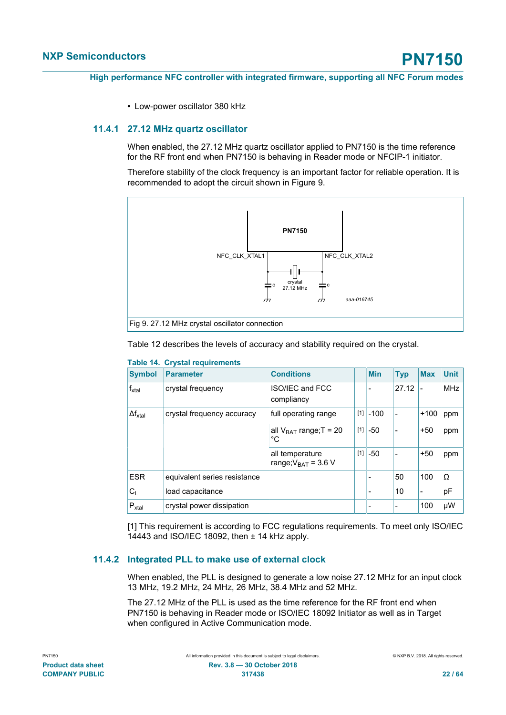<span id="page-21-1"></span>**•** Low-power oscillator 380 kHz

<span id="page-21-0"></span>**Table 14. Crystal requirements**

#### **11.4.1 27.12 MHz quartz oscillator**

When enabled, the 27.12 MHz quartz oscillator applied to PN7150 is the time reference for the RF front end when PN7150 is behaving in Reader mode or NFCIP-1 initiator.

Therefore stability of the clock frequency is an important factor for reliable operation. It is recommended to adopt the circuit shown in Figure 9.



| <b>Symbol</b>     | <b>Parameter</b>             | <b>Conditions</b>                           |     | <b>Min</b> | <b>Typ</b> | <b>Max</b>               | <b>Unit</b> |
|-------------------|------------------------------|---------------------------------------------|-----|------------|------------|--------------------------|-------------|
| $f_{xtal}$        | crystal frequency            | <b>ISO/IEC and FCC</b><br>compliancy        |     |            | 27.12      | $\overline{\phantom{a}}$ | <b>MHz</b>  |
| $\Delta f_{xtal}$ | crystal frequency accuracy   | full operating range                        |     | $[1]$ -100 | ÷          | $+100$                   | ppm         |
|                   |                              | all $V_{BAT}$ range; T = 20<br>$^{\circ}C$  | [1] | -50        |            | $+50$                    | ppm         |
|                   |                              | all temperature<br>range; $V_{BAT}$ = 3.6 V | [1] | $-50$      | ٠          | $+50$                    | ppm         |
| <b>ESR</b>        | equivalent series resistance |                                             |     |            | 50         | 100                      | Ω           |
| $C_{L}$           | load capacitance             |                                             |     | -          | 10         | $\overline{\phantom{a}}$ | pF          |
| $P_{xtal}$        | crystal power dissipation    |                                             |     |            |            | 100                      | μW          |

#### Table 12 describes the levels of accuracy and stability required on the crystal.

[1] This requirement is according to FCC regulations requirements. To meet only ISO/IEC 14443 and ISO/IEC 18092, then ± 14 kHz apply.

#### **11.4.2 Integrated PLL to make use of external clock**

<span id="page-21-2"></span>When enabled, the PLL is designed to generate a low noise 27.12 MHz for an input clock 13 MHz, 19.2 MHz, 24 MHz, 26 MHz, 38.4 MHz and 52 MHz.

The 27.12 MHz of the PLL is used as the time reference for the RF front end when PN7150 is behaving in Reader mode or ISO/IEC 18092 Initiator as well as in Target when configured in Active Communication mode.

| .                         |
|---------------------------|
|                           |
| <b>Product data sheet</b> |
|                           |
| <b>COMPANY PUBLIC</b>     |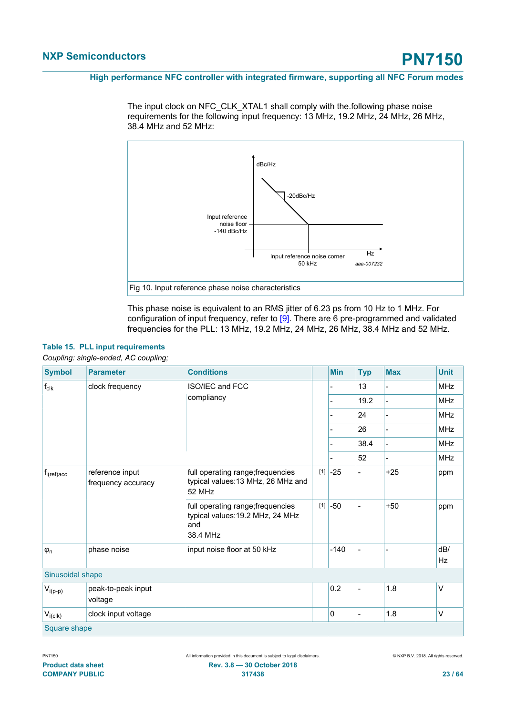The input clock on NFC\_CLK\_XTAL1 shall comply with the.following phase noise requirements for the following input frequency: 13 MHz, 19.2 MHz, 24 MHz, 26 MHz, 38.4 MHz and 52 MHz:



<span id="page-22-0"></span>This phase noise is equivalent to an RMS jitter of 6.23 ps from 10 Hz to 1 MHz. For configuration of input frequency, refer to [\[9\]](#page-57-4). There are 6 pre-programmed and validated frequencies for the PLL: 13 MHz, 19.2 MHz, 24 MHz, 26 MHz, 38.4 MHz and 52 MHz.

| <b>Symbol</b>    | <b>Parameter</b>                      | <b>Conditions</b>                                                                        |  | <b>Min</b> | <b>Typ</b>     | <b>Max</b> | <b>Unit</b>      |
|------------------|---------------------------------------|------------------------------------------------------------------------------------------|--|------------|----------------|------------|------------------|
| $f_{\text{clk}}$ | clock frequency                       | <b>ISO/IEC and FCC</b><br>compliancy                                                     |  |            | 13             |            | <b>MHz</b>       |
|                  |                                       |                                                                                          |  |            | 19.2           |            | <b>MHz</b>       |
|                  |                                       |                                                                                          |  |            | 24             |            | <b>MHz</b>       |
|                  |                                       |                                                                                          |  |            | 26             |            | <b>MHz</b>       |
|                  |                                       |                                                                                          |  |            | 38.4           |            | <b>MHz</b>       |
|                  |                                       |                                                                                          |  |            | 52             |            | <b>MHz</b>       |
| $f_{i(ref)acc}$  | reference input<br>frequency accuracy | full operating range; frequencies<br>typical values: 13 MHz, 26 MHz and<br>52 MHz        |  | $[1]$ -25  |                | $+25$      | ppm              |
|                  |                                       | full operating range; frequencies<br>typical values: 19.2 MHz, 24 MHz<br>and<br>38.4 MHz |  | $[1]$ -50  |                | $+50$      | ppm              |
| $\varphi_n$      | phase noise                           | input noise floor at 50 kHz                                                              |  | $-140$     |                |            | dB/<br><b>Hz</b> |
| Sinusoidal shape |                                       |                                                                                          |  |            |                |            |                  |
| $V_{i(p-p)}$     | peak-to-peak input<br>voltage         |                                                                                          |  | 0.2        | $\overline{a}$ | 1.8        | V                |
| $V_{i (c I k)}$  | clock input voltage                   |                                                                                          |  | 0          | $\overline{a}$ | 1.8        | V                |
|                  | Square shape                          |                                                                                          |  |            |                |            |                  |

## **Table 15. PLL input requirements**

*Coupling: single-ended, AC coupling;*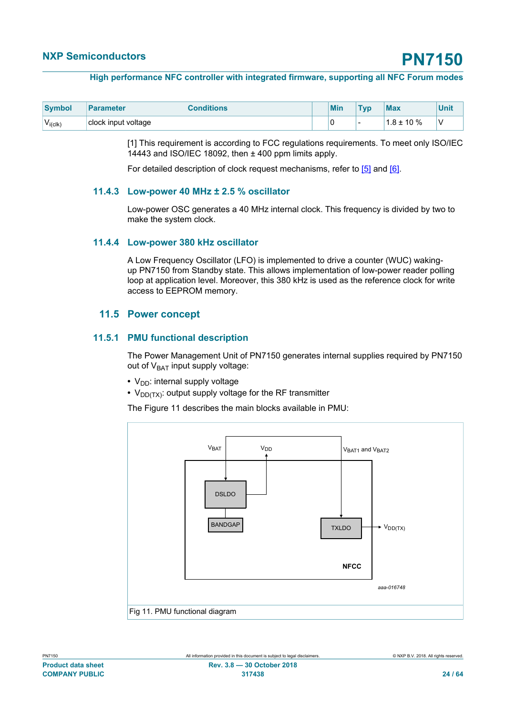#### **High performance NFC controller with integrated firmware, supporting all NFC Forum modes**

| Symbol        | <b>Parameter</b>    | <b>Conditions</b> | <b>Min</b> | T <sub>VD</sub> | Max             | <b>Unit</b> |
|---------------|---------------------|-------------------|------------|-----------------|-----------------|-------------|
| $V_{i (Clk)}$ | clock input voltage |                   |            |                 | $1.8 \pm 10 \%$ | ν           |

[1] This requirement is according to FCC regulations requirements. To meet only ISO/IEC 14443 and ISO/IEC 18092, then ± 400 ppm limits apply.

<span id="page-23-0"></span>For detailed description of clock request mechanisms, refer to [\[5\]](#page-57-8) and [\[6\].](#page-57-9)

#### **11.4.3 Low-power 40 MHz ± 2.5 % oscillator**

Low-power OSC generates a 40 MHz internal clock. This frequency is divided by two to make the system clock.

#### **11.4.4 Low-power 380 kHz oscillator**

<span id="page-23-1"></span>A Low Frequency Oscillator (LFO) is implemented to drive a counter (WUC) wakingup PN7150 from Standby state. This allows implementation of low-power reader polling loop at application level. Moreover, this 380 kHz is used as the reference clock for write access to EEPROM memory.

#### <span id="page-23-2"></span>**11.5 Power concept**

#### **11.5.1 PMU functional description**

<span id="page-23-3"></span>The Power Management Unit of PN7150 generates internal supplies required by PN7150 out of  $V<sub>BAT</sub>$  input supply voltage:

- V<sub>DD</sub>: internal supply voltage
- V<sub>DD(TX)</sub>: output supply voltage for the RF transmitter

The Figure 11 describes the main blocks available in PMU:

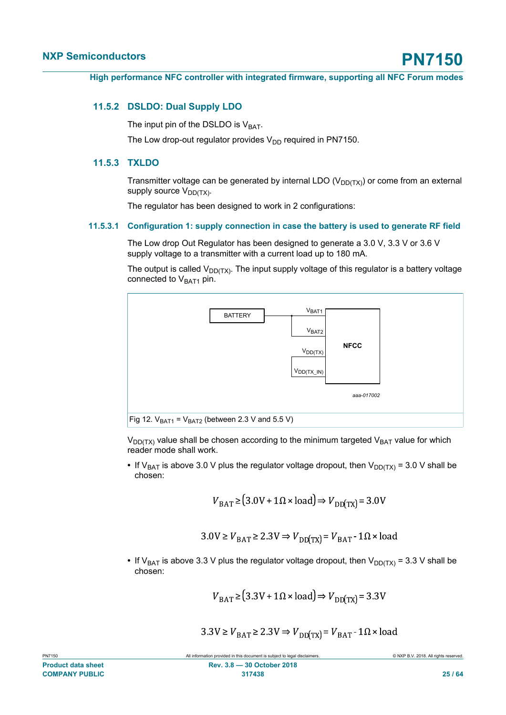#### **11.5.2 DSLDO: Dual Supply LDO**

<span id="page-24-0"></span>The input pin of the DSLDO is  $V<sub>BAT</sub>$ .

<span id="page-24-1"></span>The Low drop-out regulator provides  $V_{DD}$  required in PN7150.

#### **11.5.3 TXLDO**

Transmitter voltage can be generated by internal LDO ( $V_{DD(TX)}$ ) or come from an external supply source  $V_{DD(TX)}$ .

<span id="page-24-2"></span>The regulator has been designed to work in 2 configurations:

#### **11.5.3.1 Configuration 1: supply connection in case the battery is used to generate RF field**

The Low drop Out Regulator has been designed to generate a 3.0 V, 3.3 V or 3.6 V supply voltage to a transmitter with a current load up to 180 mA.

The output is called  $V_{\text{DD(TX)}}$ . The input supply voltage of this regulator is a battery voltage connected to  $V<sub>BAT1</sub>$  pin.



 $V_{DD(TX)}$  value shall be chosen according to the minimum targeted  $V_{BAT}$  value for which reader mode shall work.

• If V<sub>BAT</sub> is above 3.0 V plus the regulator voltage dropout, then  $V_{DD(TX)} = 3.0$  V shall be chosen:

$$
V_{\text{BAT}} \geq (3.0V + 1\Omega \times \text{load}) \Rightarrow V_{\text{DD(TX)}} = 3.0V
$$

$$
3.0 \text{V} \ge V_{\text{BAT}} \ge 2.3 \text{V} \Rightarrow V_{\text{DD(TX)}} = V_{\text{BAT}} - 1 \Omega \times \text{load}
$$

• If V<sub>BAT</sub> is above 3.3 V plus the regulator voltage dropout, then  $V_{DD(TX)} = 3.3$  V shall be chosen:

$$
V_{\text{BAT}} \geq (3.3 \text{V} + 1 \Omega \times \text{load}) \Rightarrow V_{\text{DD(TX)}} = 3.3 \text{V}
$$

 $3.3V \ge V_{\text{BAT}} \ge 2.3V \Rightarrow V_{\text{DD(TX)}} = V_{\text{BAT}} - 1.0 \times \text{load}$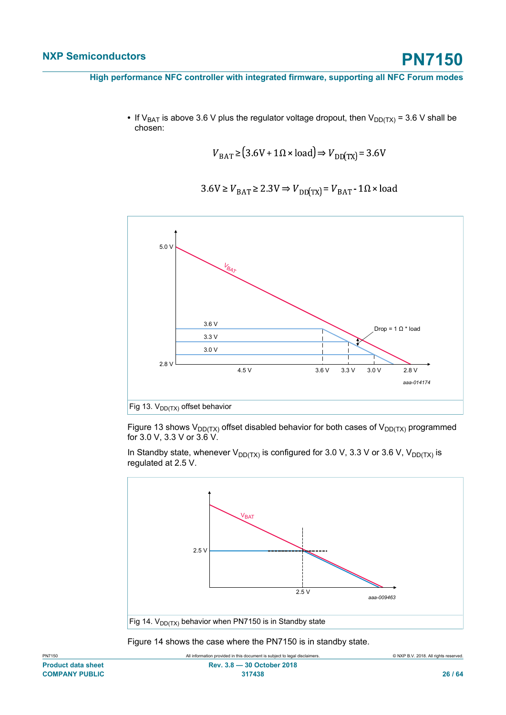• If V<sub>BAT</sub> is above 3.6 V plus the regulator voltage dropout, then  $V_{DD(TX)} = 3.6$  V shall be chosen:

$$
V_{\text{BAT}} \ge (3.6 \text{V} + 1 \Omega \times \text{load}) \Rightarrow V_{\text{DD(TX)}} = 3.6 \text{V}
$$

$$
3.6 \text{V} \ge V_{\text{BAT}} \ge 2.3 \text{V} \Rightarrow V_{\text{DD(TX)}} = V_{\text{BAT}} - 1 \Omega \times \text{load}
$$



Figure 13 shows  $V_{DD(TX)}$  offset disabled behavior for both cases of  $V_{DD(TX)}$  programmed for 3.0 V, 3.3 V or 3.6 V.

In Standby state, whenever  $V_{DD(TX)}$  is configured for 3.0 V, 3.3 V or 3.6 V,  $V_{DD(TX)}$  is regulated at 2.5 V.



Figure 14 shows the case where the PN7150 is in standby state.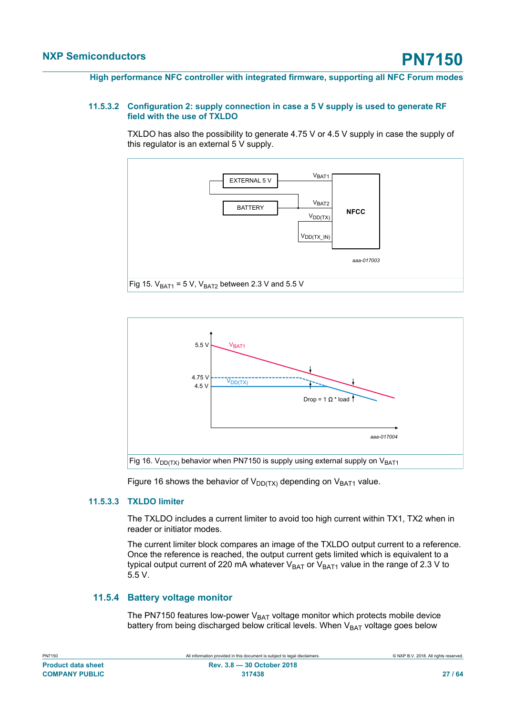#### **11.5.3.2 Configuration 2: supply connection in case a 5 V supply is used to generate RF field with the use of TXLDO**

<span id="page-26-0"></span>TXLDO has also the possibility to generate 4.75 V or 4.5 V supply in case the supply of this regulator is an external 5 V supply.





<span id="page-26-1"></span>Figure 16 shows the behavior of  $V_{DD(TX)}$  depending on  $V_{BAT1}$  value.

#### **11.5.3.3 TXLDO limiter**

The TXLDO includes a current limiter to avoid too high current within TX1, TX2 when in reader or initiator modes.

The current limiter block compares an image of the TXLDO output current to a reference. Once the reference is reached, the output current gets limited which is equivalent to a typical output current of 220 mA whatever  $V_{BAT}$  or  $V_{BAT1}$  value in the range of 2.3 V to 5.5 V.

#### **11.5.4 Battery voltage monitor**

<span id="page-26-2"></span>The PN7150 features low-power  $V_{BAT}$  voltage monitor which protects mobile device battery from being discharged below critical levels. When  $V<sub>BAT</sub>$  voltage goes below

| PN7150                    |  |
|---------------------------|--|
| <b>Product data sheet</b> |  |
| <b>COMPANY PUBLIC</b>     |  |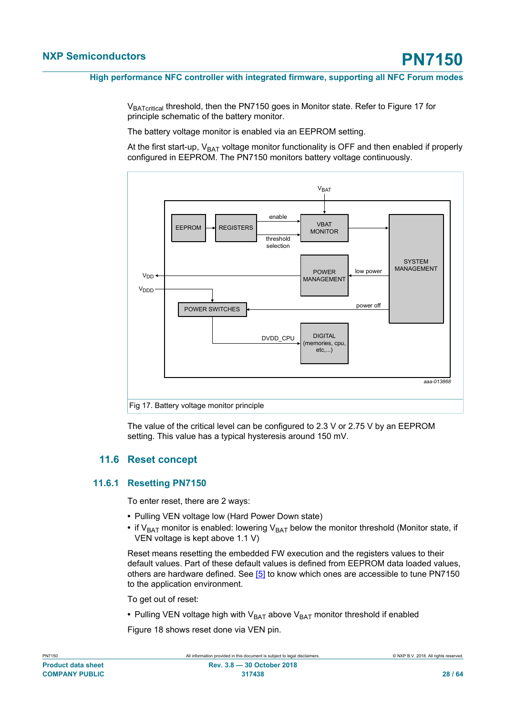V<sub>BATcritical</sub> threshold, then the PN7150 goes in Monitor state. Refer to Figure 17 for principle schematic of the battery monitor.

The battery voltage monitor is enabled via an EEPROM setting.

At the first start-up,  $V_{BAT}$  voltage monitor functionality is OFF and then enabled if properly configured in EEPROM. The PN7150 monitors battery voltage continuously.



<span id="page-27-0"></span>The value of the critical level can be configured to 2.3 V or 2.75 V by an EEPROM setting. This value has a typical hysteresis around 150 mV.

#### **11.6 Reset concept**

#### **11.6.1 Resetting PN7150**

<span id="page-27-1"></span>To enter reset, there are 2 ways:

- **•** Pulling VEN voltage low (Hard Power Down state)
- if  $V_{BAT}$  monitor is enabled: lowering  $V_{BAT}$  below the monitor threshold (Monitor state, if VEN voltage is kept above 1.1 V)

Reset means resetting the embedded FW execution and the registers values to their default values. Part of these default values is defined from EEPROM data loaded values, others are hardware defined. See [\[5\]](#page-57-8) to know which ones are accessible to tune PN7150 to the application environment.

To get out of reset:

• Pulling VEN voltage high with V<sub>BAT</sub> above V<sub>BAT</sub> monitor threshold if enabled

Figure 18 shows reset done via VEN pin.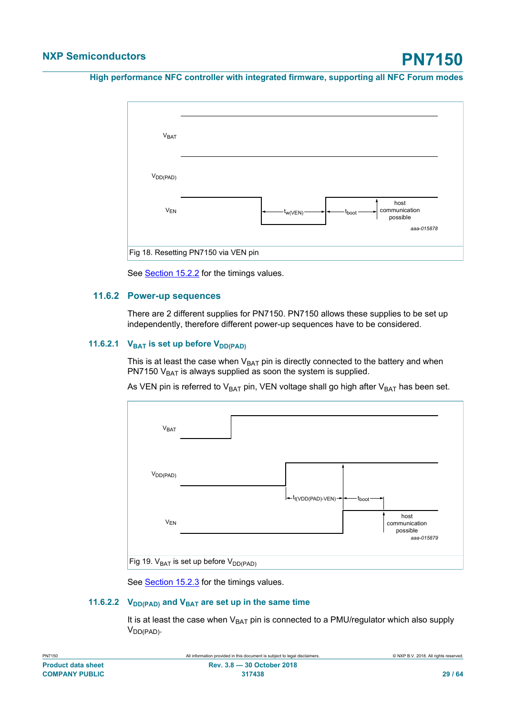

<span id="page-28-0"></span>See **[Section 15.2.2](#page-43-0)** for the timings values.

#### **11.6.2 Power-up sequences**

There are 2 different supplies for PN7150. PN7150 allows these supplies to be set up independently, therefore different power-up sequences have to be considered.

#### **11.6.2.1**  $V_{BAT}$  is set up before  $V_{DD(PAD)}$

<span id="page-28-1"></span>This is at least the case when  $V_{BAT}$  pin is directly connected to the battery and when PN7150  $V<sub>BAT</sub>$  is always supplied as soon the system is supplied.

As VEN pin is referred to  $V_{BAT}$  pin, VEN voltage shall go high after  $V_{BAT}$  has been set.



<span id="page-28-2"></span>See [Section 15.2.3](#page-43-1) for the timings values.

#### **11.6.2.2 V**<sub>DD(PAD)</sub> and **V**<sub>BAT</sub> are set up in the same time

It is at least the case when  $V_{BAT}$  pin is connected to a PMU/regulator which also supply  $V_{DD(PAD)}$ .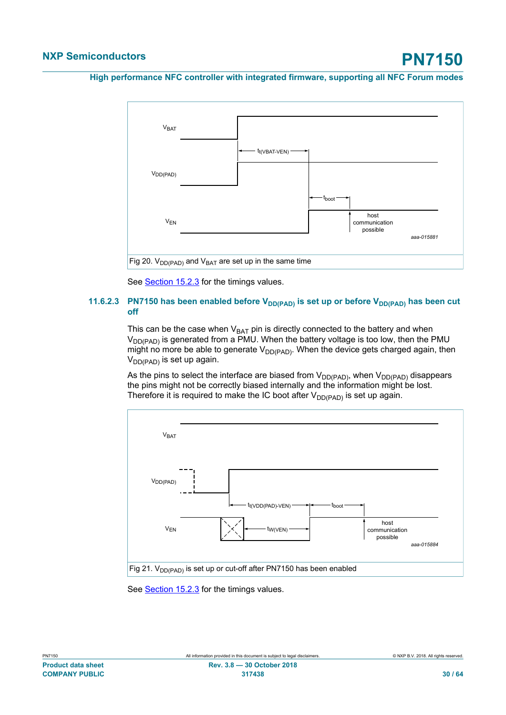

<span id="page-29-0"></span>See [Section 15.2.3](#page-43-1) for the timings values.

#### **11.6.2.3 PN7150 has been enabled before V<sub>DD(PAD)</sub>** is set up or before V<sub>DD(PAD)</sub> has been cut **off**

This can be the case when  $V_{BAT}$  pin is directly connected to the battery and when  $V_{DD(PAD)}$  is generated from a PMU. When the battery voltage is too low, then the PMU might no more be able to generate  $V_{DD(PAD)}$ . When the device gets charged again, then  $V_{DD(PAD)}$  is set up again.

As the pins to select the interface are biased from  $V_{DD(PAD)}$ , when  $V_{DD(PAD)}$  disappears the pins might not be correctly biased internally and the information might be lost. Therefore it is required to make the IC boot after  $V_{DD(PAD)}$  is set up again.



See [Section 15.2.3](#page-43-1) for the timings values.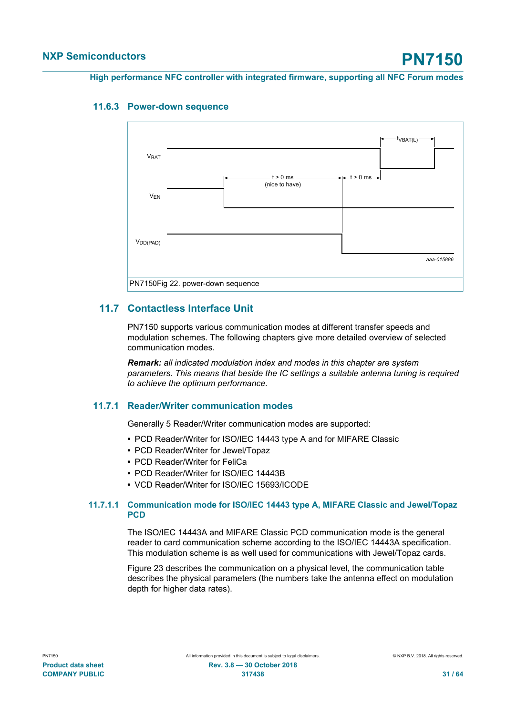### **11.6.3 Power-down sequence**

<span id="page-30-0"></span>

### **11.7 Contactless Interface Unit**

<span id="page-30-1"></span>PN7150 supports various communication modes at different transfer speeds and modulation schemes. The following chapters give more detailed overview of selected communication modes.

*Remark: all indicated modulation index and modes in this chapter are system parameters. This means that beside the IC settings a suitable antenna tuning is required to achieve the optimum performance.*

### **11.7.1 Reader/Writer communication modes**

<span id="page-30-2"></span>Generally 5 Reader/Writer communication modes are supported:

- **•** PCD Reader/Writer for ISO/IEC 14443 type A and for MIFARE Classic
- **•** PCD Reader/Writer for Jewel/Topaz
- **•** PCD Reader/Writer for FeliCa
- **•** PCD Reader/Writer for ISO/IEC 14443B
- <span id="page-30-3"></span>**•** VCD Reader/Writer for ISO/IEC 15693/ICODE

#### **11.7.1.1 Communication mode for ISO/IEC 14443 type A, MIFARE Classic and Jewel/Topaz PCD**

The ISO/IEC 14443A and MIFARE Classic PCD communication mode is the general reader to card communication scheme according to the ISO/IEC 14443A specification. This modulation scheme is as well used for communications with Jewel/Topaz cards.

Figure 23 describes the communication on a physical level, the communication table describes the physical parameters (the numbers take the antenna effect on modulation depth for higher data rates).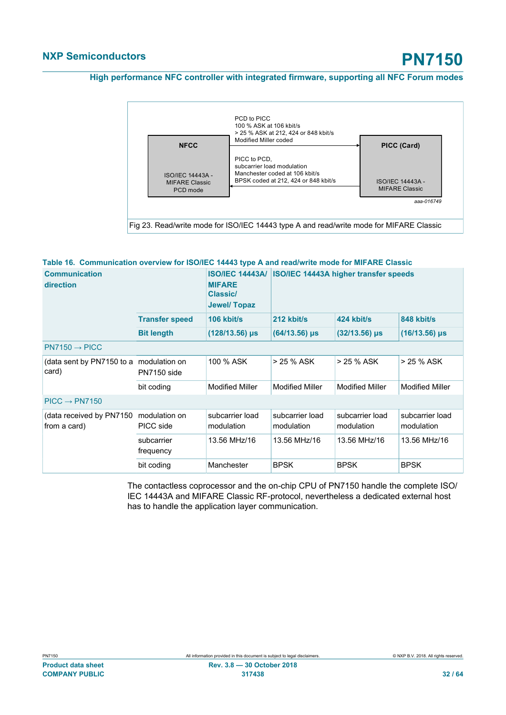

#### **Table 16. Communication overview for ISO/IEC 14443 type A and read/write mode for MIFARE Classic**

<span id="page-31-0"></span>

| <b>Communication</b><br>direction         |                              | <b>MIFARE</b><br><b>Classic/</b><br>Jewel/Topaz | ISO/IEC 14443A/ ISO/IEC 14443A higher transfer speeds |                               |                               |
|-------------------------------------------|------------------------------|-------------------------------------------------|-------------------------------------------------------|-------------------------------|-------------------------------|
|                                           | <b>Transfer speed</b>        | 106 kbit/s                                      | 212 kbit/s                                            | 424 kbit/s                    | 848 kbit/s                    |
|                                           | <b>Bit length</b>            | $(128/13.56)$ µs                                | $(64/13.56)$ µs                                       | $(32/13.56)$ µs               | $(16/13.56)$ µs               |
| $PN7150 \rightarrow PICC$                 |                              |                                                 |                                                       |                               |                               |
| (data sent by PN7150 to a<br>card)        | modulation on<br>PN7150 side | 100 % ASK                                       | > 25 % ASK                                            | $> 25 \%$ ASK                 | > 25 % ASK                    |
|                                           | bit coding                   | <b>Modified Miller</b>                          | <b>Modified Miller</b>                                | <b>Modified Miller</b>        | <b>Modified Miller</b>        |
| $PICC \rightarrow PN7150$                 |                              |                                                 |                                                       |                               |                               |
| (data received by PN7150)<br>from a card) | modulation on<br>PICC side   | subcarrier load<br>modulation                   | subcarrier load<br>modulation                         | subcarrier load<br>modulation | subcarrier load<br>modulation |
|                                           | subcarrier<br>frequency      | 13.56 MHz/16                                    | 13.56 MHz/16                                          | 13.56 MHz/16                  | 13.56 MHz/16                  |
|                                           | bit coding                   | Manchester                                      | <b>BPSK</b>                                           | <b>BPSK</b>                   | <b>BPSK</b>                   |

The contactless coprocessor and the on-chip CPU of PN7150 handle the complete ISO/ IEC 14443A and MIFARE Classic RF-protocol, nevertheless a dedicated external host has to handle the application layer communication.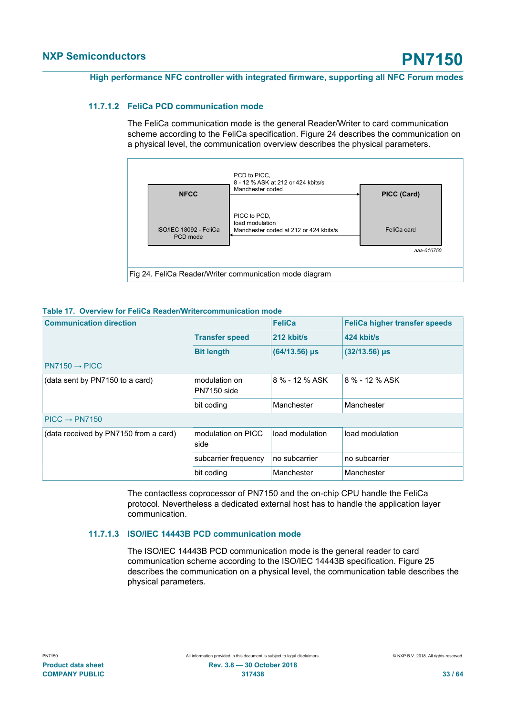#### **11.7.1.2 FeliCa PCD communication mode**

<span id="page-32-1"></span>The FeliCa communication mode is the general Reader/Writer to card communication scheme according to the FeliCa specification. Figure 24 describes the communication on a physical level, the communication overview describes the physical parameters.



|  | Table 17 Overview for FeliCa Reader/Writercommunication mode |  |
|--|--------------------------------------------------------------|--|

<span id="page-32-0"></span>

| <b>Communication direction</b>        |                              | <b>FeliCa</b>   | <b>FeliCa higher transfer speeds</b> |
|---------------------------------------|------------------------------|-----------------|--------------------------------------|
|                                       | <b>Transfer speed</b>        | 212 kbit/s      | 424 kbit/s                           |
|                                       | <b>Bit length</b>            | $(64/13.56)$ µs | $(32/13.56)$ µs                      |
| $PN7150 \rightarrow PICC$             |                              |                 |                                      |
| (data sent by PN7150 to a card)       | modulation on<br>PN7150 side | 8 % - 12 % ASK  | 8 % - 12 % ASK                       |
|                                       | bit coding                   | Manchester      | Manchester                           |
| $PICC \rightarrow PN7150$             |                              |                 |                                      |
| (data received by PN7150 from a card) | modulation on PICC<br>side   | load modulation | load modulation                      |
|                                       | subcarrier frequency         | no subcarrier   | no subcarrier                        |
|                                       | bit coding                   | Manchester      | Manchester                           |

The contactless coprocessor of PN7150 and the on-chip CPU handle the FeliCa protocol. Nevertheless a dedicated external host has to handle the application layer communication.

#### **11.7.1.3 ISO/IEC 14443B PCD communication mode**

<span id="page-32-2"></span>The ISO/IEC 14443B PCD communication mode is the general reader to card communication scheme according to the ISO/IEC 14443B specification. Figure 25 describes the communication on a physical level, the communication table describes the physical parameters.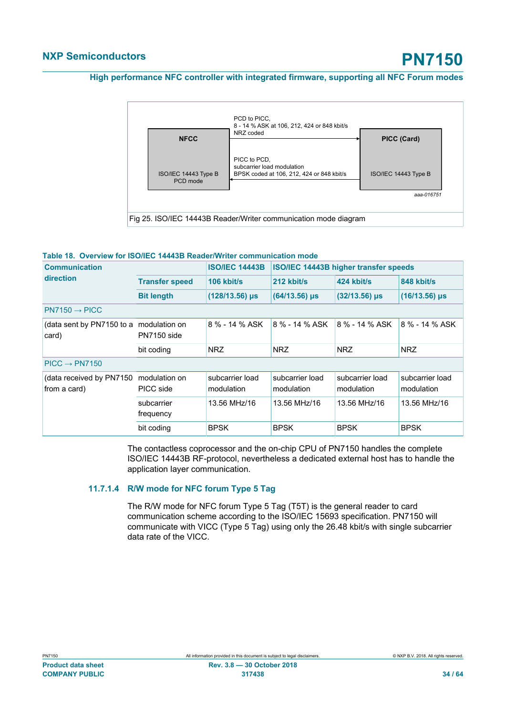

#### <span id="page-33-0"></span>**Table 18. Overview for ISO/IEC 14443B Reader/Writer communication mode**

| <b>Communication</b>                     |                              | <b>ISO/IEC 14443B</b>         |                               | ISO/IEC 14443B higher transfer speeds |                               |
|------------------------------------------|------------------------------|-------------------------------|-------------------------------|---------------------------------------|-------------------------------|
| direction                                | <b>Transfer speed</b>        | 106 kbit/s                    | 212 kbit/s                    | 424 kbit/s                            | 848 kbit/s                    |
|                                          | <b>Bit length</b>            | $(128/13.56)$ µs              | $(64/13.56)$ µs               | $(32/13.56)$ µs                       | $(16/13.56)$ µs               |
| $PN7150 \rightarrow PICC$                |                              |                               |                               |                                       |                               |
| (data sent by PN7150 to a<br>card)       | modulation on<br>PN7150 side | 8 % - 14 % ASK                | 8 % - 14 % ASK                | 8 % - 14 % ASK                        | 8 % - 14 % ASK                |
|                                          | bit coding                   | <b>NRZ</b>                    | <b>NRZ</b>                    | <b>NRZ</b>                            | <b>NRZ</b>                    |
| $PICC \rightarrow PN7150$                |                              |                               |                               |                                       |                               |
| (data received by PN7150<br>from a card) | modulation on<br>PICC side   | subcarrier load<br>modulation | subcarrier load<br>modulation | subcarrier load<br>modulation         | subcarrier load<br>modulation |
|                                          | subcarrier<br>frequency      | 13.56 MHz/16                  | 13.56 MHz/16                  | 13.56 MHz/16                          | 13.56 MHz/16                  |
|                                          | bit coding                   | <b>BPSK</b>                   | <b>BPSK</b>                   | <b>BPSK</b>                           | <b>BPSK</b>                   |

The contactless coprocessor and the on-chip CPU of PN7150 handles the complete ISO/IEC 14443B RF-protocol, nevertheless a dedicated external host has to handle the application layer communication.

#### **11.7.1.4 R/W mode for NFC forum Type 5 Tag**

<span id="page-33-1"></span>The R/W mode for NFC forum Type 5 Tag (T5T) is the general reader to card communication scheme according to the ISO/IEC 15693 specification. PN7150 will communicate with VICC (Type 5 Tag) using only the 26.48 kbit/s with single subcarrier data rate of the VICC.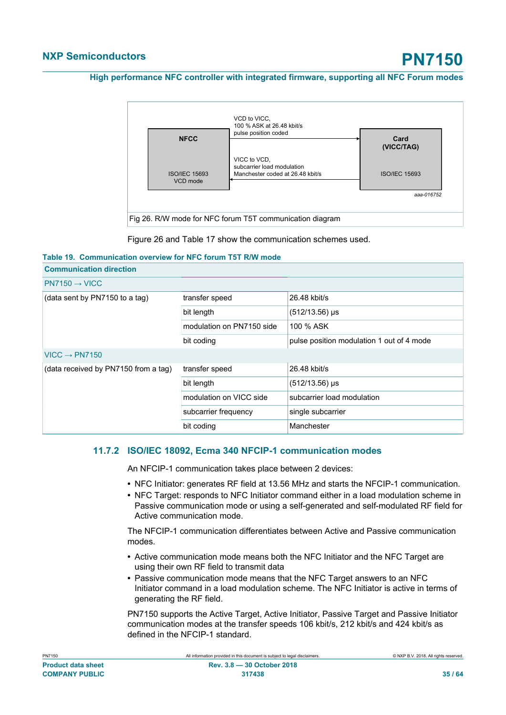

<span id="page-34-0"></span>Figure 26 and Table 17 show the communication schemes used.

#### **Table 19. Communication overview for NFC forum T5T R/W mode**

| <b>Communication direction</b>       |                           |                                           |  |  |  |  |
|--------------------------------------|---------------------------|-------------------------------------------|--|--|--|--|
| $PN7150 \rightarrow VICC$            |                           |                                           |  |  |  |  |
| (data sent by PN7150 to a tag)       | transfer speed            | 26.48 kbit/s                              |  |  |  |  |
|                                      | bit length                | $(512/13.56)$ µs                          |  |  |  |  |
|                                      | modulation on PN7150 side | 100 % ASK                                 |  |  |  |  |
|                                      | bit coding                | pulse position modulation 1 out of 4 mode |  |  |  |  |
| $VICC \rightarrow PN7150$            |                           |                                           |  |  |  |  |
| (data received by PN7150 from a tag) | transfer speed            | 26.48 kbit/s                              |  |  |  |  |
|                                      | bit length                | $(512/13.56)$ µs                          |  |  |  |  |
|                                      | modulation on VICC side   | subcarrier load modulation                |  |  |  |  |
|                                      | subcarrier frequency      | single subcarrier                         |  |  |  |  |
|                                      | bit coding                | Manchester                                |  |  |  |  |

#### **11.7.2 ISO/IEC 18092, Ecma 340 NFCIP-1 communication modes**

<span id="page-34-1"></span>An NFCIP-1 communication takes place between 2 devices:

- **•** NFC Initiator: generates RF field at 13.56 MHz and starts the NFCIP-1 communication.
- **•** NFC Target: responds to NFC Initiator command either in a load modulation scheme in Passive communication mode or using a self-generated and self-modulated RF field for Active communication mode.

The NFCIP-1 communication differentiates between Active and Passive communication modes.

- **•** Active communication mode means both the NFC Initiator and the NFC Target are using their own RF field to transmit data
- **•** Passive communication mode means that the NFC Target answers to an NFC Initiator command in a load modulation scheme. The NFC Initiator is active in terms of generating the RF field.

PN7150 supports the Active Target, Active Initiator, Passive Target and Passive Initiator communication modes at the transfer speeds 106 kbit/s, 212 kbit/s and 424 kbit/s as defined in the NFCIP-1 standard.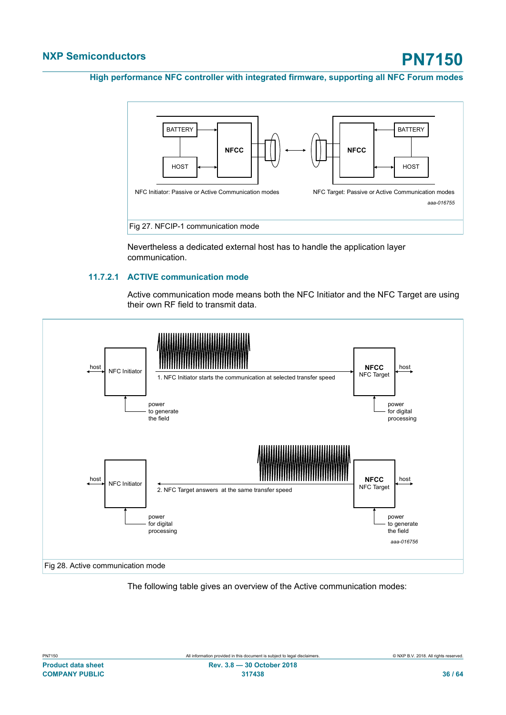

Nevertheless a dedicated external host has to handle the application layer communication.

#### **11.7.2.1 ACTIVE communication mode**

<span id="page-35-0"></span>Active communication mode means both the NFC Initiator and the NFC Target are using their own RF field to transmit data.



The following table gives an overview of the Active communication modes: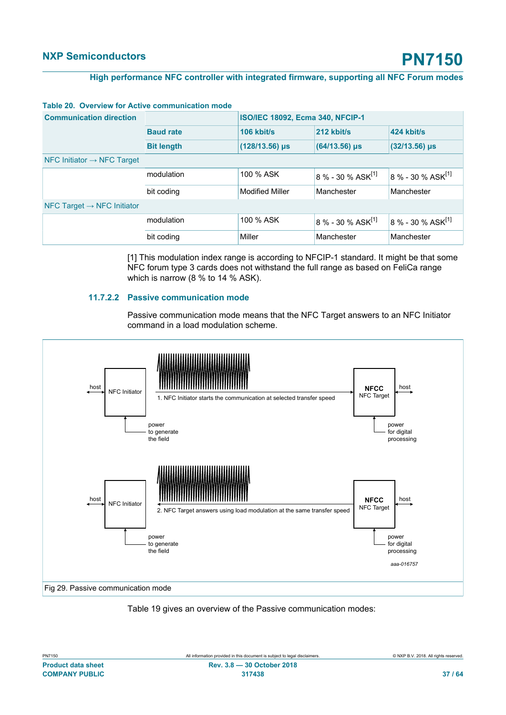| <b>Communication direction</b>           |                   | ISO/IEC 18092, Ecma 340, NFCIP-1 |                                 |                               |  |  |
|------------------------------------------|-------------------|----------------------------------|---------------------------------|-------------------------------|--|--|
|                                          | <b>Baud rate</b>  | 106 kbit/s                       | 212 kbit/s                      | 424 kbit/s                    |  |  |
|                                          | <b>Bit length</b> | $(128/13.56)$ µs                 | $(64/13.56)$ µs                 | $(32/13.56)$ µs               |  |  |
| $NFC$ Initiator $\rightarrow$ NFC Target |                   |                                  |                                 |                               |  |  |
|                                          | modulation        | 100 % ASK                        | $8\%$ - 30 % ASK <sup>[1]</sup> | 8 % - 30 % $ASK^{[1]}$        |  |  |
|                                          | bit coding        | <b>Modified Miller</b>           | Manchester                      | Manchester                    |  |  |
| NFC Target $\rightarrow$ NFC Initiator   |                   |                                  |                                 |                               |  |  |
|                                          | modulation        | 100 % ASK                        | $8\% - 30\%$ ASK <sup>[1]</sup> | 8 % - 30 % ASK <sup>[1]</sup> |  |  |
|                                          | bit coding        | Miller                           | Manchester                      | Manchester                    |  |  |

#### <span id="page-36-0"></span>**Table 20. Overview for Active communication mode**

[1] This modulation index range is according to NFCIP-1 standard. It might be that some NFC forum type 3 cards does not withstand the full range as based on FeliCa range which is narrow (8 % to 14 % ASK).

#### **11.7.2.2 Passive communication mode**

<span id="page-36-1"></span>Passive communication mode means that the NFC Target answers to an NFC Initiator command in a load modulation scheme.



#### Table 19 gives an overview of the Passive communication modes:

| PN7150                    |
|---------------------------|
| <b>Product data sheet</b> |
| <b>COMPANY PUBLIC</b>     |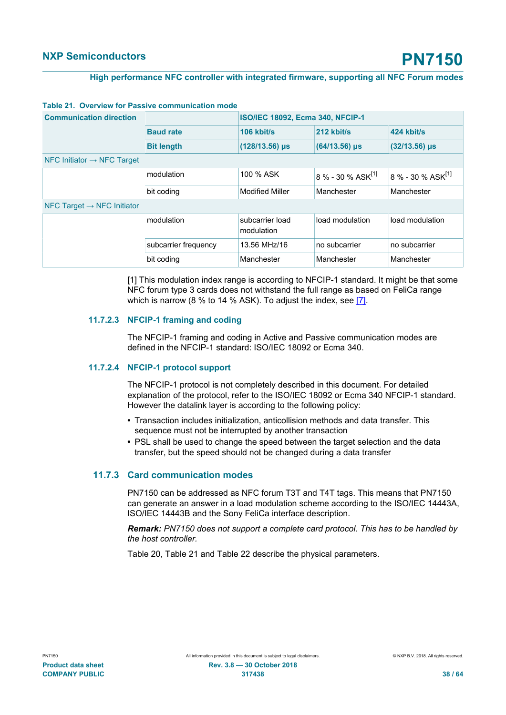| <b>Communication direction</b>           |                      | <b>ISO/IEC 18092, Ecma 340, NFCIP-1</b> |                                 |                               |  |  |  |
|------------------------------------------|----------------------|-----------------------------------------|---------------------------------|-------------------------------|--|--|--|
|                                          | <b>Baud rate</b>     | 106 kbit/s                              | 212 kbit/s                      | 424 kbit/s                    |  |  |  |
|                                          | <b>Bit length</b>    | $(128/13.56) \,\mu s$                   | $(64/13.56)$ µs                 | $(32/13.56)$ µs               |  |  |  |
| $NFC$ Initiator $\rightarrow$ NFC Target |                      |                                         |                                 |                               |  |  |  |
|                                          | modulation           | 100 % ASK                               | $8\%$ - 30 % ASK <sup>[1]</sup> | 8 % - 30 % ASK <sup>[1]</sup> |  |  |  |
|                                          | bit coding           | <b>Modified Miller</b>                  | Manchester                      | Manchester                    |  |  |  |
| $NFC$ Target $\rightarrow$ NFC Initiator |                      |                                         |                                 |                               |  |  |  |
|                                          | modulation           | subcarrier load<br>modulation           | load modulation                 | load modulation               |  |  |  |
|                                          | subcarrier frequency | 13.56 MHz/16                            | no subcarrier                   | no subcarrier                 |  |  |  |
|                                          | bit coding           | Manchester                              | Manchester                      | Manchester                    |  |  |  |

#### <span id="page-37-0"></span>**Table 21. Overview for Passive communication mode**

[1] This modulation index range is according to NFCIP-1 standard. It might be that some NFC forum type 3 cards does not withstand the full range as based on FeliCa range which is narrow (8 % to 14 % ASK). To adjust the index, see [\[7\]](#page-57-10).

#### **11.7.2.3 NFCIP-1 framing and coding**

<span id="page-37-1"></span>The NFCIP-1 framing and coding in Active and Passive communication modes are defined in the NFCIP-1 standard: ISO/IEC 18092 or Ecma 340.

#### **11.7.2.4 NFCIP-1 protocol support**

<span id="page-37-2"></span>The NFCIP-1 protocol is not completely described in this document. For detailed explanation of the protocol, refer to the ISO/IEC 18092 or Ecma 340 NFCIP-1 standard. However the datalink layer is according to the following policy:

- **•** Transaction includes initialization, anticollision methods and data transfer. This sequence must not be interrupted by another transaction
- **•** PSL shall be used to change the speed between the target selection and the data transfer, but the speed should not be changed during a data transfer

#### **11.7.3 Card communication modes**

<span id="page-37-3"></span>PN7150 can be addressed as NFC forum T3T and T4T tags. This means that PN7150 can generate an answer in a load modulation scheme according to the ISO/IEC 14443A, ISO/IEC 14443B and the Sony FeliCa interface description.

*Remark: PN7150 does not support a complete card protocol. This has to be handled by the host controller.*

Table 20, Table 21 and Table 22 describe the physical parameters.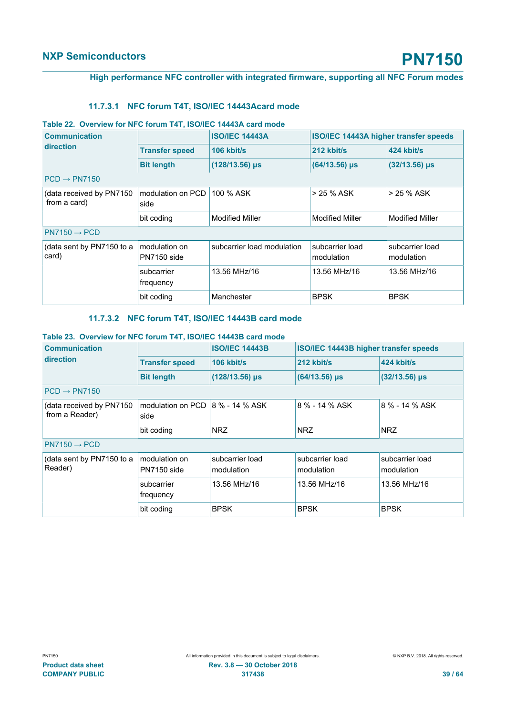#### **High performance NFC controller with integrated firmware, supporting all NFC Forum modes**

#### <span id="page-38-2"></span><span id="page-38-0"></span>**11.7.3.1 NFC forum T4T, ISO/IEC 14443Acard mode**

#### **Table 22. Overview for NFC forum T4T, ISO/IEC 14443A card mode**

| <b>Communication</b>                      |                              | <b>ISO/IEC 14443A</b>      | <b>ISO/IEC 14443A higher transfer speeds</b> |                               |
|-------------------------------------------|------------------------------|----------------------------|----------------------------------------------|-------------------------------|
| direction                                 | <b>Transfer speed</b>        | $106$ kbit/s               | 212 kbit/s                                   | 424 kbit/s                    |
|                                           | <b>Bit length</b>            | $(128/13.56)$ µs           | $(64/13.56)$ µs                              | $(32/13.56)$ µs               |
| $PCD \rightarrow PN7150$                  |                              |                            |                                              |                               |
| (data received by PN7150)<br>from a card) | modulation on PCD<br>side    | 100 % ASK                  | > 25 % ASK                                   | > 25 % ASK                    |
|                                           | bit coding                   | <b>Modified Miller</b>     | <b>Modified Miller</b>                       | <b>Modified Miller</b>        |
| $PN7150 \rightarrow PCD$                  |                              |                            |                                              |                               |
| (data sent by PN7150 to a<br>card)        | modulation on<br>PN7150 side | subcarrier load modulation | subcarrier load<br>modulation                | subcarrier load<br>modulation |
|                                           | subcarrier<br>frequency      | 13.56 MHz/16               | 13.56 MHz/16                                 | 13.56 MHz/16                  |
|                                           | bit coding                   | Manchester                 | <b>BPSK</b>                                  | <b>BPSK</b>                   |

#### <span id="page-38-3"></span><span id="page-38-1"></span>**11.7.3.2 NFC forum T4T, ISO/IEC 14443B card mode**

#### **Table 23. Overview for NFC forum T4T, ISO/IEC 14443B card mode**

| <b>Communication</b>                       |                                                  | <b>ISO/IEC 14443B</b>         | ISO/IEC 14443B higher transfer speeds |                               |
|--------------------------------------------|--------------------------------------------------|-------------------------------|---------------------------------------|-------------------------------|
| direction                                  | <b>Transfer speed</b>                            | $106$ kbit/s                  | 212 kbit/s                            | 424 kbit/s                    |
|                                            | <b>Bit length</b>                                | (128/13.56) µs                | $(64/13.56)$ µs                       | $(32/13.56)$ µs               |
| $PCD \rightarrow PN7150$                   |                                                  |                               |                                       |                               |
| (data received by PN7150<br>from a Reader) | modulation on PCD $\vert$ 8 % - 14 % ASK<br>side |                               | 8 % - 14 % ASK                        | 8 % - 14 % ASK                |
|                                            | bit coding                                       | NRZ                           | <b>NRZ</b>                            | <b>NRZ</b>                    |
| $PN7150 \rightarrow PCD$                   |                                                  |                               |                                       |                               |
| (data sent by PN7150 to a<br>Reader)       | modulation on<br>PN7150 side                     | subcarrier load<br>modulation | subcarrier load<br>modulation         | subcarrier load<br>modulation |
|                                            | subcarrier<br>frequency                          | 13.56 MHz/16                  | 13.56 MHz/16                          | 13.56 MHz/16                  |
|                                            | bit coding                                       | <b>BPSK</b>                   | <b>BPSK</b>                           | <b>BPSK</b>                   |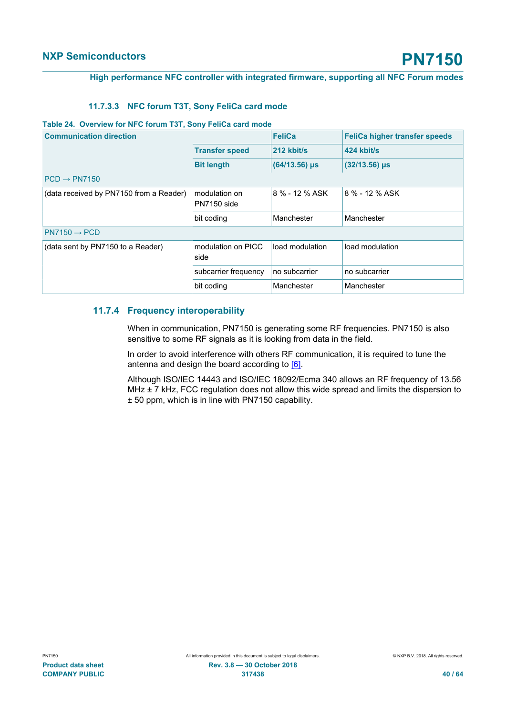#### **High performance NFC controller with integrated firmware, supporting all NFC Forum modes**

#### <span id="page-39-1"></span><span id="page-39-0"></span>**11.7.3.3 NFC forum T3T, Sony FeliCa card mode**

#### **Table 24. Overview for NFC forum T3T, Sony FeliCa card mode**

| <b>Communication direction</b>          |                              | <b>FeliCa</b>   | <b>FeliCa higher transfer speeds</b> |
|-----------------------------------------|------------------------------|-----------------|--------------------------------------|
|                                         | <b>Transfer speed</b>        | 212 kbit/s      | 424 kbit/s                           |
|                                         | <b>Bit length</b>            | $(64/13.56)$ µs | $(32/13.56)$ µs                      |
| $PCD \rightarrow PN7150$                |                              |                 |                                      |
| (data received by PN7150 from a Reader) | modulation on<br>PN7150 side | 8 % - 12 % ASK  | 8 % - 12 % ASK                       |
|                                         | bit coding                   | Manchester      | Manchester                           |
| $PN7150 \rightarrow PCD$                |                              |                 |                                      |
| (data sent by PN7150 to a Reader)       | modulation on PICC<br>side   | load modulation | load modulation                      |
|                                         | subcarrier frequency         | no subcarrier   | no subcarrier                        |
|                                         | bit coding                   | Manchester      | Manchester                           |

#### **11.7.4 Frequency interoperability**

<span id="page-39-2"></span>When in communication, PN7150 is generating some RF frequencies. PN7150 is also sensitive to some RF signals as it is looking from data in the field.

In order to avoid interference with others RF communication, it is required to tune the antenna and design the board according to [\[6\].](#page-57-9)

Although ISO/IEC 14443 and ISO/IEC 18092/Ecma 340 allows an RF frequency of 13.56 MHz  $\pm$  7 kHz, FCC regulation does not allow this wide spread and limits the dispersion to ± 50 ppm, which is in line with PN7150 capability.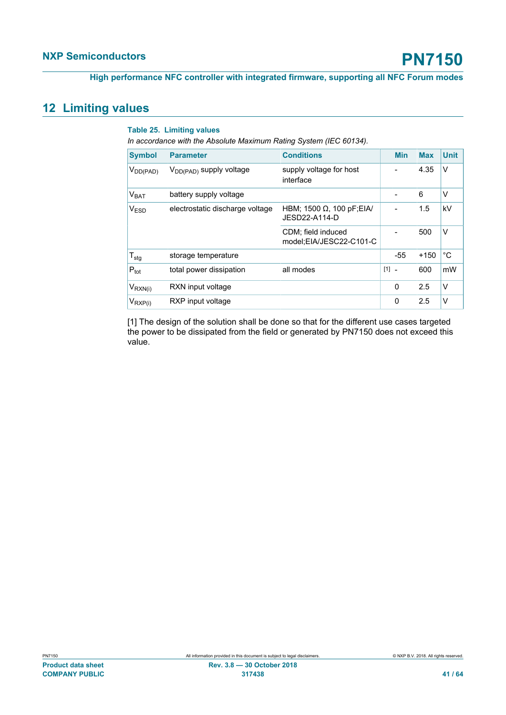### <span id="page-40-1"></span>**12 Limiting values**

#### <span id="page-40-0"></span>**Table 25. Limiting values**

*In accordance with the Absolute Maximum Rating System (IEC 60134).*

| <b>Symbol</b>    | <b>Parameter</b>                    | <b>Conditions</b>                                 |       | <b>Min</b>     | <b>Max</b> | <b>Unit</b> |
|------------------|-------------------------------------|---------------------------------------------------|-------|----------------|------------|-------------|
| $V_{DD(PAD)}$    | V <sub>DD(PAD)</sub> supply voltage | supply voltage for host<br>interface              |       |                | 4.35       | V           |
| V <sub>BAT</sub> | battery supply voltage              |                                                   |       |                | 6          | V           |
| V <sub>ESD</sub> | electrostatic discharge voltage     | HBM; 1500 $\Omega$ , 100 pF;EIA/<br>JESD22-A114-D |       |                | 1.5        | kV          |
|                  |                                     | CDM; field induced<br>model:EIA/JESC22-C101-C     |       |                | 500        | V           |
| $T_{\text{stg}}$ | storage temperature                 |                                                   |       | $-55$          | $+150$     | °C          |
| $P_{\text{tot}}$ | total power dissipation             | all modes                                         | $[1]$ | $\blacksquare$ | 600        | mW          |
| $V_{RXN(i)}$     | RXN input voltage                   |                                                   |       | 0              | 2.5        | V           |
| $V_{RXP(i)}$     | RXP input voltage                   |                                                   |       | $\mathbf{0}$   | 2.5        | v           |

[1] The design of the solution shall be done so that for the different use cases targeted the power to be dissipated from the field or generated by PN7150 does not exceed this value.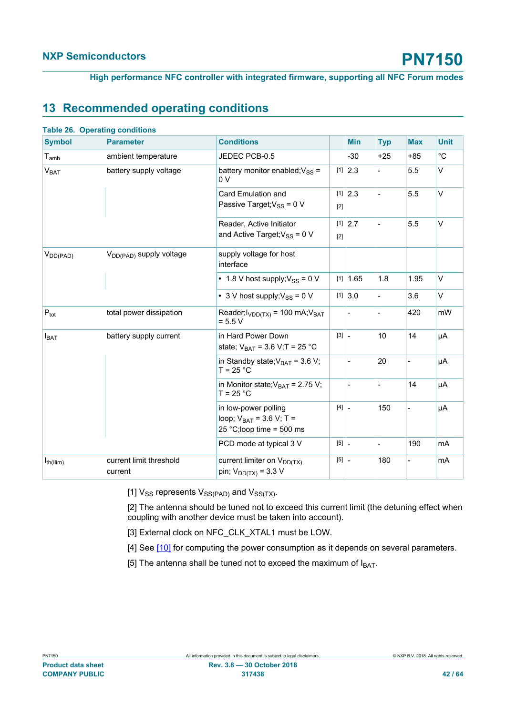<span id="page-41-0"></span>**High performance NFC controller with integrated firmware, supporting all NFC Forum modes**

### <span id="page-41-1"></span>**13 Recommended operating conditions**

|                        | <b>Table 26. Operating conditions</b> |                                                                                   |                                     |                          |                          |                          |             |
|------------------------|---------------------------------------|-----------------------------------------------------------------------------------|-------------------------------------|--------------------------|--------------------------|--------------------------|-------------|
| <b>Symbol</b>          | <b>Parameter</b>                      | <b>Conditions</b>                                                                 |                                     | <b>Min</b>               | <b>Typ</b>               | <b>Max</b>               | <b>Unit</b> |
| $T_{amb}$              | ambient temperature                   | JEDEC PCB-0.5                                                                     |                                     | $-30$                    | $+25$                    | $+85$                    | $^{\circ}C$ |
| <b>V<sub>BAT</sub></b> | battery supply voltage                | battery monitor enabled; $V_{SS}$ =<br>0 V                                        |                                     | $[1]$ 2.3                | $\overline{\phantom{0}}$ | 5.5                      | V           |
|                        |                                       | Card Emulation and                                                                |                                     | $[1]$ 2.3                | $\overline{\phantom{0}}$ | 5.5                      | $\vee$      |
|                        |                                       | Passive Target; $V_{SS}$ = 0 V                                                    | $[2]$                               |                          |                          |                          |             |
|                        |                                       | Reader, Active Initiator                                                          |                                     | $[1]$ 2.7                |                          | 5.5                      | $\vee$      |
|                        |                                       | and Active Target; $V_{SS}$ = 0 V                                                 | $[2]$                               |                          |                          |                          |             |
| $V_{DD(PAD)}$          | V <sub>DD(PAD)</sub> supply voltage   | supply voltage for host<br>interface                                              |                                     |                          |                          |                          |             |
|                        |                                       | • 1.8 V host supply; $V_{SS} = 0$ V                                               |                                     | $[1]$ 1.65               | 1.8                      | 1.95                     | V           |
|                        |                                       | • 3 V host supply; $V_{SS}$ = 0 V                                                 |                                     | [1] 3.0                  |                          | 3.6                      | $\vee$      |
| $P_{\text{tot}}$       | total power dissipation               | Reader; $I_{VDD(TX)}$ = 100 mA; $V_{BAT}$<br>$= 5.5 V$                            |                                     |                          |                          | 420                      | mW          |
| $I_{BAT}$              | battery supply current                | in Hard Power Down                                                                | $\begin{bmatrix} 3 \end{bmatrix}$ – |                          | 10                       | 14                       | μA          |
|                        |                                       | state; $V_{BAT}$ = 3.6 V;T = 25 °C                                                |                                     |                          |                          |                          |             |
|                        |                                       | in Standby state; $V_{BAT}$ = 3.6 V;<br>$T = 25 °C$                               |                                     | $\overline{\phantom{a}}$ | 20                       | $\overline{\phantom{0}}$ | μA          |
|                        |                                       | in Monitor state; $V_{BAT}$ = 2.75 V;<br>$T = 25 °C$                              |                                     |                          |                          | 14                       | μA          |
|                        |                                       | in low-power polling<br>loop; $V_{BAT} = 3.6 V$ ; T =<br>25 °C;loop time = 500 ms | $[4]$ –                             |                          | 150                      |                          | μA          |
|                        |                                       | PCD mode at typical 3 V                                                           | $[5]$ -                             |                          | $\overline{\phantom{a}}$ | 190                      | mA          |
| $I_{th(IIim)}$         | current limit threshold<br>current    | current limiter on V <sub>DD(TX)</sub><br>pin; $V_{DD(TX)} = 3.3 V$               | $[5]$ $-$                           |                          | 180                      |                          | mA          |

[1]  $V_{SS}$  represents  $V_{SS(PAD)}$  and  $V_{SS(TX)}$ .

[2] The antenna should be tuned not to exceed this current limit (the detuning effect when coupling with another device must be taken into account).

- [3] External clock on NFC\_CLK\_XTAL1 must be LOW.
- [4] See [\[10\]](#page-57-7) for computing the power consumption as it depends on several parameters.
- [5] The antenna shall be tuned not to exceed the maximum of  $I<sub>BAT</sub>$ .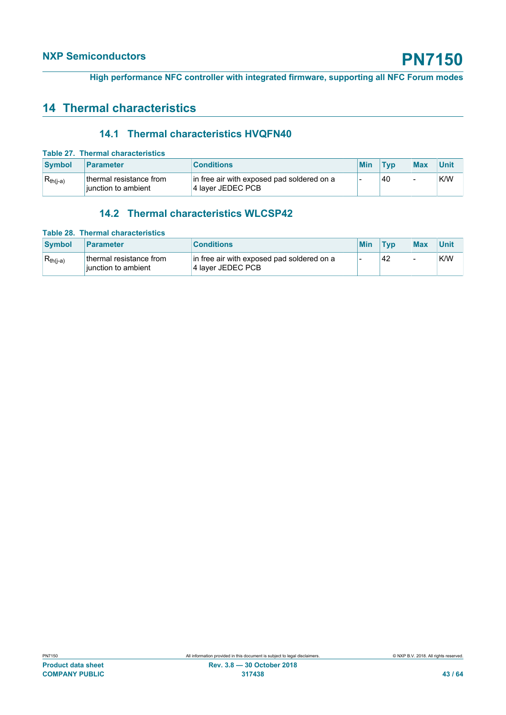## <span id="page-42-2"></span>**14 Thermal characteristics**

### <span id="page-42-3"></span><span id="page-42-0"></span>**14.1 Thermal characteristics HVQFN40**

|               | Table 27. Thermal characteristics              |                                                                 |  |     |            |            |      |  |  |
|---------------|------------------------------------------------|-----------------------------------------------------------------|--|-----|------------|------------|------|--|--|
| <b>Symbol</b> | Parameter                                      | <b>Conditions</b>                                               |  | Min | <b>Tvp</b> | <b>Max</b> | Unit |  |  |
| $R_{th(i-a)}$ | thermal resistance from<br>iunction to ambient | in free air with exposed pad soldered on a<br>4 layer JEDEC PCB |  | -   | 40         |            | K/W  |  |  |

### <span id="page-42-4"></span><span id="page-42-1"></span>**14.2 Thermal characteristics WLCSP42**

|               | Table 28. Thermal characteristics              |                                                                 |            |     |                          |      |
|---------------|------------------------------------------------|-----------------------------------------------------------------|------------|-----|--------------------------|------|
| <b>Symbol</b> | Parameter                                      | <b>Conditions</b>                                               | <b>Min</b> | Tvp | <b>Max</b>               | Unit |
| $R_{th(i-a)}$ | thermal resistance from<br>iunction to ambient | in free air with exposed pad soldered on a<br>4 layer JEDEC PCB |            | 42  | $\overline{\phantom{0}}$ | K/W  |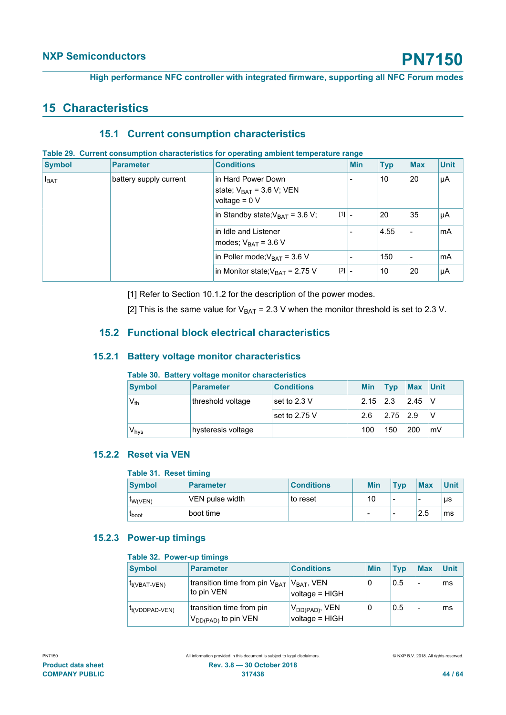### <span id="page-43-6"></span>**15 Characteristics**

#### <span id="page-43-7"></span><span id="page-43-2"></span>**15.1 Current consumption characteristics**

#### **Table 29. Current consumption characteristics for operating ambient temperature range**

| <b>Symbol</b> | <b>Parameter</b>       | <b>Conditions</b>                                                       |                                | <b>Min</b> | <b>Typ</b> | <b>Max</b> | <b>Unit</b> |
|---------------|------------------------|-------------------------------------------------------------------------|--------------------------------|------------|------------|------------|-------------|
| $I_{BAT}$     | battery supply current | in Hard Power Down<br>state; $V_{BAT} = 3.6 V$ ; VEN<br>voltage = $0 V$ |                                |            | 10         | 20         | μA          |
|               |                        | in Standby state; $V_{BAT}$ = 3.6 V;                                    | $[1]$ .                        |            | 20         | 35         | μA          |
|               |                        | in Idle and Listener<br>modes; $V_{BAT}$ = 3.6 V                        |                                |            | 4.55       | ۰          | mA          |
|               |                        | in Poller mode; $V_{BAT}$ = 3.6 V                                       |                                |            | 150        | ۰          | mA          |
|               |                        | in Monitor state; $V_{\text{BAT}} = 2.75$ V                             | $[2]$ $\overline{\phantom{a}}$ |            | 10         | 20         | μA          |

[1] Refer to Section 10.1.2 for the description of the power modes.

<span id="page-43-8"></span>[2] This is the same value for  $V_{BAT} = 2.3$  V when the monitor threshold is set to 2.3 V.

### **15.2 Functional block electrical characteristics**

#### **15.2.1 Battery voltage monitor characteristics**

#### <span id="page-43-9"></span><span id="page-43-3"></span>**Table 30. Battery voltage monitor characteristics**

| <b>Symbol</b>               | <b>Parameter</b>   | <b>Conditions</b> | <b>Min</b> | $ $ Typ | Max Unit |    |
|-----------------------------|--------------------|-------------------|------------|---------|----------|----|
| $V_{th}$                    | threshold voltage  | set to 2.3 V      | 2.15       | 2.3     | 2.45     | IV |
|                             |                    | set to $2.75$ V   | 2.6        | 2.75    | 2.9      | V  |
| $\mathsf{V}_{\mathsf{hys}}$ | hysteresis voltage |                   | 100        | 150     | 200      | mV |

#### **15.2.2 Reset via VEN**

#### <span id="page-43-4"></span><span id="page-43-0"></span>**Table 31. Reset timing**

| <b>Symbol</b>  | <b>Parameter</b> | <b>Conditions</b> | <b>Min</b> | Typ                      | <b>Max</b> | Unit |
|----------------|------------------|-------------------|------------|--------------------------|------------|------|
| <b>IW(VEN)</b> | VEN pulse width  | to reset          | 10         | $\overline{\phantom{0}}$ | -          | μs   |
| <b>L</b> boot  | boot time        |                   |            | $\overline{\phantom{0}}$ | 2.5        | ms   |

#### **15.2.3 Power-up timings**

#### <span id="page-43-5"></span><span id="page-43-1"></span>**Table 32. Power-up timings**

| <b>Symbol</b>              | <b>Parameter</b>                                                                 | <b>Conditions</b>                     | <b>Min</b> | <b>Typ</b> | <b>Max</b> | <b>Unit</b> |
|----------------------------|----------------------------------------------------------------------------------|---------------------------------------|------------|------------|------------|-------------|
| $I_{t(VBAT-VEN)}$          | transition time from pin V <sub>BAT</sub>   V <sub>BAT</sub> , VEN<br>to pin VEN | voltage = HIGH                        | 0          | 0.5        |            | ms          |
| <sup>I</sup> t(VDDPAD-VEN) | transition time from pin<br>V <sub>DD(PAD)</sub> to pin VEN                      | $V_{DD(PAD)}$ , VEN<br>voltage = HIGH | 0          | 0.5        |            | ms          |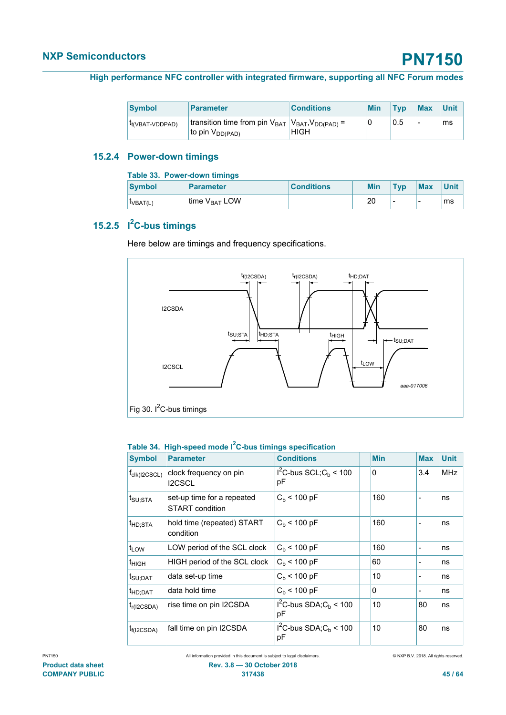#### **High performance NFC controller with integrated firmware, supporting all NFC Forum modes**

| <b>Symbol</b>                | <b>Parameter</b>                                                                         | <b>Conditions</b> | <b>Min</b> | Tvp | <b>Max</b> | <b>Unit</b> |
|------------------------------|------------------------------------------------------------------------------------------|-------------------|------------|-----|------------|-------------|
| t <sub>t</sub> (VBAT-VDDPAD) | Itransition time from pin $V_{BAT}$ $ V_{BAT}$ , $V_{DD(PAD)}$ =<br>to pin $V_{DD(PAD)}$ | <b>HIGH</b>       |            | 0.5 | -          | ms          |

### **15.2.4 Power-down timings**

<span id="page-44-2"></span><span id="page-44-0"></span>

| Table 33. Power-down timings |                           |                   |  |            |                          |                          |             |  |  |
|------------------------------|---------------------------|-------------------|--|------------|--------------------------|--------------------------|-------------|--|--|
| <b>Symbol</b>                | <b>Parameter</b>          | <b>Conditions</b> |  | <b>Min</b> | <b>Tvp</b>               | <b>Max</b>               | <b>Unit</b> |  |  |
| $I_{VBAT(L)}$                | time V <sub>RAT</sub> LOW |                   |  | 20         | $\overline{\phantom{0}}$ | $\overline{\phantom{0}}$ | ms          |  |  |

### **15.2.5 I <sup>2</sup>C-bus timings**

<span id="page-44-3"></span>Here below are timings and frequency specifications.



#### <span id="page-44-1"></span>**Table 34. High-speed mode I2C-bus timings specification**

| <b>Symbol</b>            | <b>Parameter</b>                              | <b>Conditions</b>                  | <b>Min</b> | <b>Max</b>               | <b>Unit</b> |
|--------------------------|-----------------------------------------------|------------------------------------|------------|--------------------------|-------------|
| $t_{\text{clk}(I2CSCL)}$ | clock frequency on pin<br><b>I2CSCL</b>       | $I2C-bus SCL; Cb < 100$<br>рF      | 0          | 3.4                      | <b>MHz</b>  |
| t <sub>SU:STA</sub>      | set-up time for a repeated<br>START condition | $C_h$ < 100 pF                     | 160        |                          | ns          |
| t <sub>HD;STA</sub>      | hold time (repeated) START<br>condition       | $C_h$ < 100 pF                     | 160        | -                        | ns          |
| $t_{LOW}$                | LOW period of the SCL clock                   | $C_h$ < 100 pF                     | 160        | -                        | ns          |
| t <sub>НІGН</sub>        | HIGH period of the SCL clock                  | $C_b$ < 100 pF                     | 60         |                          | ns          |
| t <sub>SU;DAT</sub>      | data set-up time                              | $C_b$ < 100 pF                     | 10         | $\overline{\phantom{0}}$ | ns          |
| t <sub>HD;DAT</sub>      | data hold time                                | $C_h$ < 100 pF                     | 0          | -                        | ns          |
| $t_{r(I2CSDA)}$          | rise time on pin I2CSDA                       | $I^2C$ -bus SDA; $C_h$ < 100<br>pF | 10         | 80                       | ns          |
| $t_{f(12CSDA)}$          | fall time on pin I2CSDA                       | $I2C-bus SDA; Cb < 100$<br>рF      | 10         | 80                       | ns          |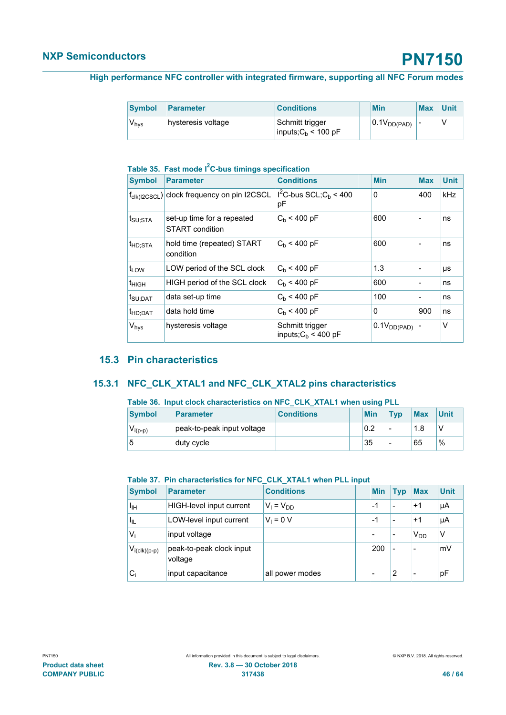| <b>Symbol</b>    | <b>Parameter</b>   | <b>Conditions</b>                        | Min              | <b>Max</b> | <b>Unit</b> |
|------------------|--------------------|------------------------------------------|------------------|------------|-------------|
| $V_{\text{hvs}}$ | hysteresis voltage | Schmitt trigger<br>inputs; $Cb$ < 100 pF | $0.1V_{DD(PAD)}$ |            |             |

### <span id="page-45-0"></span>**Table 35. Fast mode I2C-bus timings specification**

| <b>Symbol</b>       | <b>Parameter</b>                                       | <b>Conditions</b>                         | <b>Min</b>       | <b>Max</b> | <b>Unit</b> |
|---------------------|--------------------------------------------------------|-------------------------------------------|------------------|------------|-------------|
|                     | $f_{\text{clk}(I2CSCL)}$ clock frequency on pin I2CSCL | $I^2C$ -bus SCL; $C_b$ < 400<br>рF        | $\mathbf{0}$     | 400        | kHz         |
| t <sub>SU:STA</sub> | set-up time for a repeated<br>START condition          | $C_h$ < 400 pF                            | 600              |            | ns          |
| t <sub>HD;STA</sub> | hold time (repeated) START<br>condition                | $C_h$ < 400 pF                            | 600              |            | ns          |
| $t_{LOW}$           | LOW period of the SCL clock                            | $C_h$ < 400 pF                            | 1.3              |            | μs          |
| $t_{HIGH}$          | HIGH period of the SCL clock                           | $C_h$ < 400 pF                            | 600              | ۰          | ns          |
| t <sub>SU:DAT</sub> | data set-up time                                       | $C_h$ < 400 pF                            | 100              |            | ns          |
| <sup>t</sup> HD:DAT | data hold time                                         | $C_h$ < 400 pF                            | $\mathbf{0}$     | 900        | ns          |
| V <sub>hys</sub>    | hysteresis voltage                                     | Schmitt trigger<br>inputs; $C_b$ < 400 pF | $0.1V_{DD(PAD)}$ |            | v           |

### <span id="page-45-3"></span>**15.3 Pin characteristics**

#### **15.3.1 NFC\_CLK\_XTAL1 and NFC\_CLK\_XTAL2 pins characteristics**

#### <span id="page-45-4"></span><span id="page-45-1"></span>**Table 36. Input clock characteristics on NFC\_CLK\_XTAL1 when using PLL**

| <b>Symbol</b> | <b>Parameter</b>           | <b>Conditions</b> | <b>Min</b> | <b>Typ</b>               | <b>Max</b> | <b>Unit</b>   |
|---------------|----------------------------|-------------------|------------|--------------------------|------------|---------------|
| $V_{i(p-p)}$  | peak-to-peak input voltage |                   | 0.2        | $\overline{\phantom{0}}$ |            |               |
|               | duty cycle                 |                   | 35         | -                        | 65         | $\frac{0}{0}$ |

#### <span id="page-45-2"></span>**Table 37. Pin characteristics for NFC\_CLK\_XTAL1 when PLL input**

| <b>Symbol</b>     | <b>Parameter</b>                    | <b>Conditions</b> | <b>Min</b>               | <b>Typ</b>               | <b>Max</b>            | <b>Unit</b> |
|-------------------|-------------------------------------|-------------------|--------------------------|--------------------------|-----------------------|-------------|
| $I_{\rm IH}$      | HIGH-level input current            | $V_1 = V_{DD}$    | $-1$                     | $\overline{\phantom{0}}$ | $+1$                  | μA          |
| ՝ կլ              | LOW-level input current             | $V_1 = 0 V$       | $-1$                     | $\overline{\phantom{0}}$ | $+1$                  | μA          |
| $V_i$             | input voltage                       |                   | -                        | $\overline{\phantom{0}}$ | <b>V<sub>DD</sub></b> | V           |
| $V_{i(clk)(p-p)}$ | peak-to-peak clock input<br>voltage |                   | 200                      | $\overline{\phantom{a}}$ | -                     | mV          |
| $C_i$             | input capacitance                   | all power modes   | $\overline{\phantom{0}}$ | 2                        | ٠                     | рF          |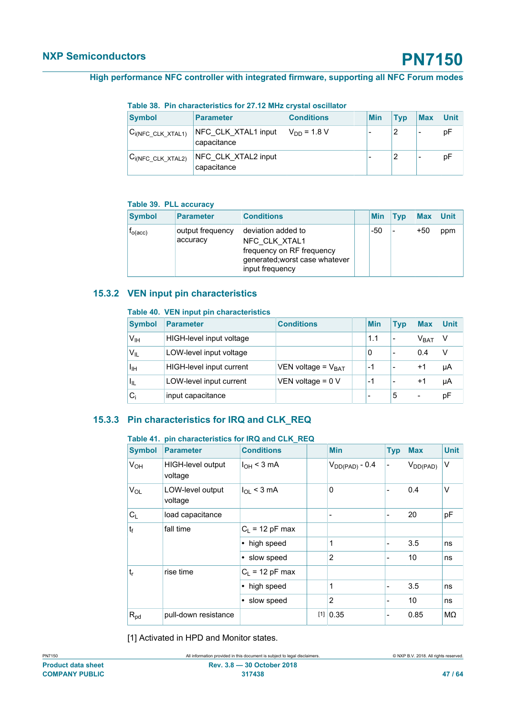<span id="page-46-0"></span>**Table 38. Pin characteristics for 27.12 MHz crystal oscillator**

| <b>Symbol</b>              | <b>Parameter</b>                   | <b>Conditions</b> | <b>Min</b> | Typ | <b>Max</b> | Unit |
|----------------------------|------------------------------------|-------------------|------------|-----|------------|------|
| $ C_{i(NFC\_CLK\_XTAL1)} $ | NFC CLK XTAL1 input<br>capacitance | $V_{DD} = 1.8 V$  |            |     |            | рF   |
| $C_{i(NFC\_CLK\_XTAL2)}$   | NFC CLK XTAL2 input<br>capacitance |                   |            |     |            | рF   |

#### <span id="page-46-1"></span>**Table 39. PLL accuracy**

| <b>Symbol</b>         | <b>Parameter</b>             | <b>Conditions</b>                                                                                                     | <b>Min</b> | Tvp | <b>Max</b> | <b>Unit</b> |
|-----------------------|------------------------------|-----------------------------------------------------------------------------------------------------------------------|------------|-----|------------|-------------|
| $I_{O(\mathrm{acc})}$ | output frequency<br>accuracy | deviation added to<br>NFC CLK XTAL1<br>frequency on RF frequency<br>generated; worst case whatever<br>input frequency | -50        |     | $+50$      | ppm         |

### **15.3.2 VEN input pin characteristics**

#### <span id="page-46-4"></span><span id="page-46-2"></span>**Table 40. VEN input pin characteristics**

| <b>Symbol</b>   | <b>Parameter</b>         | <b>Conditions</b>       | <b>Min</b> | <b>Typ</b>               | <b>Max</b>               | <b>Unit</b> |
|-----------------|--------------------------|-------------------------|------------|--------------------------|--------------------------|-------------|
| V <sub>IH</sub> | HIGH-level input voltage |                         | 1.1        | $\overline{\phantom{0}}$ | V <sub>BAT</sub>         |             |
| $V_{IL}$        | LOW-level input voltage  |                         | 0          | $\overline{\phantom{0}}$ | 0.4                      | $\vee$      |
| Ιін             | HIGH-level input current | VEN voltage = $V_{BAT}$ | -1         | $\overline{\phantom{0}}$ | $+1$                     | μA          |
| ЧL              | LOW-level input current  | VEN voltage = $0 V$     | -1         | $\overline{\phantom{0}}$ | $+1$                     | μA          |
| $\rm C_i$       | input capacitance        |                         | -          | 5                        | $\overline{\phantom{0}}$ | pF          |

### **15.3.3 Pin characteristics for IRQ and CLK\_REQ**

#### <span id="page-46-5"></span><span id="page-46-3"></span>**Table 41. pin characteristics for IRQ and CLK\_REQ**

| <b>Symbol</b>         | <b>Parameter</b>             | <b>Conditions</b> |     | <b>Min</b>               | <b>Typ</b> | <b>Max</b>    | <b>Unit</b> |
|-----------------------|------------------------------|-------------------|-----|--------------------------|------------|---------------|-------------|
| <b>V<sub>OH</sub></b> | HIGH-level output<br>voltage | $I_{OH}$ < 3 mA   |     | $V_{DD(PAD)}$ - 0.4      | -          | $V_{DD(PAD)}$ | v           |
| $V_{OL}$              | LOW-level output<br>voltage  | $I_{OL}$ < 3 mA   |     | $\Omega$                 |            | 0.4           | V           |
| $C_L$                 | load capacitance             |                   |     | $\overline{\phantom{a}}$ |            | 20            | pF          |
| $t_f$                 | fall time                    | $C_L$ = 12 pF max |     |                          |            |               |             |
|                       |                              | • high speed      |     | 1                        |            | 3.5           | ns          |
|                       |                              | • slow speed      |     | $\overline{2}$           |            | 10            | ns          |
| $t_{r}$               | rise time                    | $C_L$ = 12 pF max |     |                          |            |               |             |
|                       |                              | • high speed      |     | 1                        |            | 3.5           | ns          |
|                       |                              | • slow speed      |     | $\overline{2}$           |            | 10            | ns          |
| $R_{pd}$              | pull-down resistance         |                   | [1] | 0.35                     |            | 0.85          | MΩ          |

[1] Activated in HPD and Monitor states.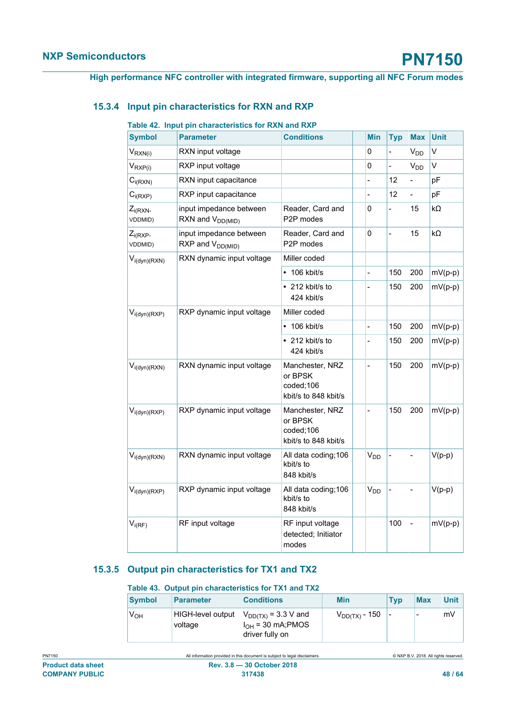### **15.3.4 Input pin characteristics for RXN and RXP**

#### <span id="page-47-2"></span><span id="page-47-0"></span>**Table 42. Input pin characteristics for RXN and RXP**

| <b>Symbol</b>                 | <b>Parameter</b>                                        | <b>Conditions</b>                                               | <b>Min</b>                   | <b>Typ</b>     | <b>Max</b>      | <b>Unit</b> |
|-------------------------------|---------------------------------------------------------|-----------------------------------------------------------------|------------------------------|----------------|-----------------|-------------|
| $V_{RXN(i)}$                  | RXN input voltage                                       |                                                                 | 0                            |                | V <sub>DD</sub> | V           |
| $V_{RXP(i)}$                  | RXP input voltage                                       |                                                                 | 0                            | $\frac{1}{2}$  | $V_{DD}$        | V           |
| $C_{i(RXN)}$                  | RXN input capacitance                                   |                                                                 |                              | 12             | $\frac{1}{2}$   | pF          |
| $C_{i(RXP)}$                  | RXP input capacitance                                   |                                                                 | $\overline{a}$               | 12             | $\blacksquare$  | pF          |
| $Z_{i(RXN-$<br><b>VDDMID)</b> | input impedance between<br>RXN and $V_{DD(MID)}$        | Reader, Card and<br>P2P modes                                   | 0                            | $\overline{a}$ | 15              | $k\Omega$   |
| $Z_{i(RXP-)}$<br>VDDMID)      | input impedance between<br>RXP and V <sub>DD(MID)</sub> | Reader, Card and<br>P2P modes                                   | 0                            | $\overline{a}$ | 15              | kΩ          |
| $V_{i(dyn)(RXN)}$             | RXN dynamic input voltage                               | Miller coded                                                    |                              |                |                 |             |
|                               |                                                         | $\cdot$ 106 kbit/s                                              | $\qquad \qquad \blacksquare$ | 150            | 200             | $mV(p-p)$   |
|                               |                                                         | $\cdot$ 212 kbit/s to<br>424 kbit/s                             | $\overline{a}$               | 150            | 200             | $mV(p-p)$   |
| $V_{i(dyn)(RXP)}$             | RXP dynamic input voltage                               | Miller coded                                                    |                              |                |                 |             |
|                               |                                                         | 106 kbit/s                                                      |                              | 150            | 200             | $mV(p-p)$   |
|                               |                                                         | $\cdot$ 212 kbit/s to<br>424 kbit/s                             | $\overline{\phantom{0}}$     | 150            | 200             | $mV(p-p)$   |
| $V_{i(dyn)(RXN)}$             | RXN dynamic input voltage                               | Manchester, NRZ<br>or BPSK<br>coded;106<br>kbit/s to 848 kbit/s | $\overline{\phantom{0}}$     | 150            | 200             | $mV(p-p)$   |
| $V_{i(dyn)(RXP)}$             | RXP dynamic input voltage                               | Manchester, NRZ<br>or BPSK<br>coded;106<br>kbit/s to 848 kbit/s |                              | 150            | 200             | $mV(p-p)$   |
| $V_{i(dyn)(RXN)}$             | RXN dynamic input voltage                               | All data coding; 106<br>kbit/s to<br>848 kbit/s                 | V <sub>DD</sub>              |                |                 | $V(p-p)$    |
| $V_{i(dyn)(RXP)}$             | RXP dynamic input voltage                               | All data coding; 106<br>kbit/s to<br>848 kbit/s                 | V <sub>DD</sub>              |                | $\overline{a}$  | $V(p-p)$    |
| $V_{i(RF)}$                   | RF input voltage                                        | RF input voltage<br>detected; Initiator<br>modes                |                              | 100            | $\frac{1}{2}$   | $mV(p-p)$   |

### **15.3.5 Output pin characteristics for TX1 and TX2**

#### <span id="page-47-3"></span><span id="page-47-1"></span>**Table 43. Output pin characteristics for TX1 and TX2**

| <b>Symbol</b>   | <b>Parameter</b>             | <b>Conditions</b>                                                 | <b>Min</b>                | <b>Typ</b> | <b>Max</b>               | Unit |
|-----------------|------------------------------|-------------------------------------------------------------------|---------------------------|------------|--------------------------|------|
| V <sub>OH</sub> | HIGH-level output<br>voltage | $V_{DD(TX)}$ = 3.3 V and<br>$IOH$ = 30 mA;PMOS<br>driver fully on | V <sub>DD(TX)</sub> - 150 |            | $\overline{\phantom{0}}$ | mV   |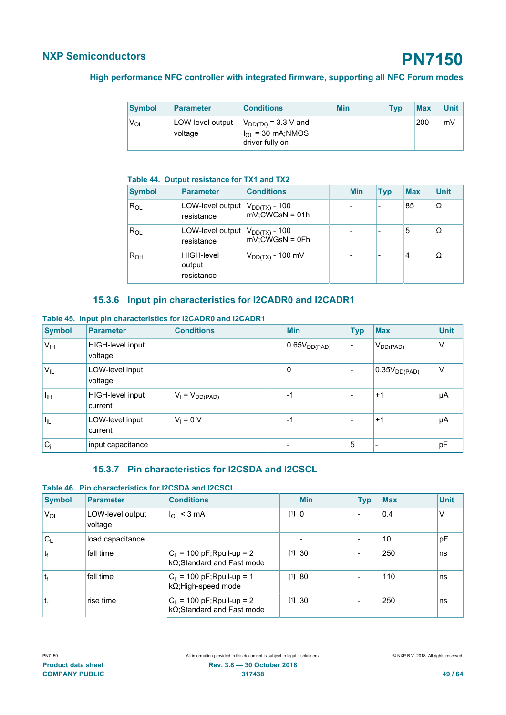| Symbol | <b>Parameter</b>            | <b>Conditions</b>                                                 | <b>Min</b>               | <b>Typ</b> | <b>Max</b> | <b>Unit</b> |
|--------|-----------------------------|-------------------------------------------------------------------|--------------------------|------------|------------|-------------|
| Vol    | LOW-level output<br>voltage | $V_{DD(TX)} = 3.3 V$ and<br>$IOL$ = 30 mA;NMOS<br>driver fully on | $\overline{\phantom{0}}$ | -          | 200        | mV          |

#### <span id="page-48-0"></span>**Table 44. Output resistance for TX1 and TX2**

| <b>Symbol</b>   | <b>Parameter</b>                          | <b>Conditions</b>                                         | <b>Min</b> | <b>Typ</b> | <b>Max</b> | <b>Unit</b> |
|-----------------|-------------------------------------------|-----------------------------------------------------------|------------|------------|------------|-------------|
| $R_{OL}$        | LOW-level output  <br>resistance          | V <sub>DD(TX)</sub> - 100<br>$mV$ ; $\ddot{C}W$ GsN = 01h |            |            | 85         | Ω           |
| $R_{OL}$        | LOW-level output<br>resistance            | $V_{DD(TX)}$ - 100<br>$mV$ ;CWGsN = 0Fh                   |            |            | 5          | Ω           |
| R <sub>OH</sub> | <b>HIGH-level</b><br>output<br>resistance | $V_{DD(TX)}$ - 100 mV                                     |            |            | 4          | Ω           |

### <span id="page-48-3"></span><span id="page-48-1"></span>**15.3.6 Input pin characteristics for I2CADR0 and I2CADR1**

#### **Table 45. Input pin characteristics for I2CADR0 and I2CADR1**

| <b>Symbol</b>    | <b>Parameter</b>            | <b>Conditions</b>   | <b>Min</b>            | <b>Typ</b> | <b>Max</b>          | <b>Unit</b> |
|------------------|-----------------------------|---------------------|-----------------------|------------|---------------------|-------------|
| $V_{IH}$         | HIGH-level input<br>voltage |                     | $ 0.65$ $V_{DD(PAD)}$ | -          | $V_{DD(PAD)}$       | ν           |
| 'V <sub>IL</sub> | LOW-level input<br>voltage  |                     | 0                     |            | $ 0.35V_{DD(PAD)} $ | ν           |
| $I_{\text{IH}}$  | HIGH-level input<br>current | $V_1 = V_{DD(PAD)}$ | $-1$                  |            | $+1$                | μA          |
| $I_{\rm IL}$     | LOW-level input<br>current  | $V_1 = 0 V$         | $-1$                  |            | $+1$                | μA          |
| $C_i$            | input capacitance           |                     |                       | 5          |                     | pF          |

### <span id="page-48-4"></span><span id="page-48-2"></span>**15.3.7 Pin characteristics for I2CSDA and I2CSCL**

#### **Table 46. Pin characteristics for I2CSDA and I2CSCL**

| <b>Symbol</b>  | <b>Parameter</b>            | <b>Conditions</b>                                                  |         | <b>Min</b>   | <b>Typ</b>               | <b>Max</b> | <b>Unit</b> |
|----------------|-----------------------------|--------------------------------------------------------------------|---------|--------------|--------------------------|------------|-------------|
| VOL            | LOW-level output<br>voltage | $I_{OL}$ < 3 mA                                                    | $[1]$ 0 |              |                          | 0.4        | $\vee$      |
| $C_{L}$        | load capacitance            |                                                                    |         |              | $\overline{\phantom{0}}$ | 10         | pF          |
| $ t_f $        | fall time                   | $C_L$ = 100 pF; Rpull-up = 2<br>$k\Omega$ ; Standard and Fast mode | [1]     | $ 30\rangle$ |                          | 250        | ns          |
| t <sub>f</sub> | fall time                   | $C_L$ = 100 pF; Rpull-up = 1<br>$k\Omega$ ; High-speed mode        | $[1]$   | 80           |                          | 110        | ns          |
| $t_{r}$        | rise time                   | $C_L$ = 100 pF; Rpull-up = 2<br>kΩ;Standard and Fast mode          | $[1]$   | 30           |                          | 250        | ns          |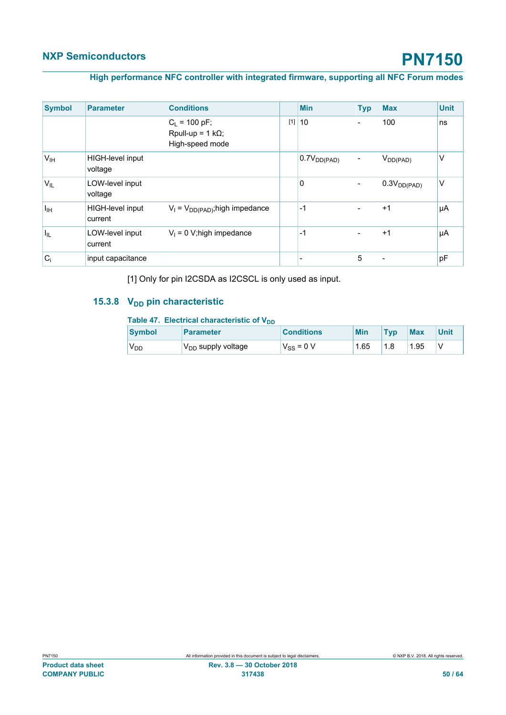#### **High performance NFC controller with integrated firmware, supporting all NFC Forum modes**

| <b>Symbol</b>    | <b>Parameter</b>            | <b>Conditions</b>                                              |       | <b>Min</b>       | <b>Typ</b> | <b>Max</b>       | <b>Unit</b> |
|------------------|-----------------------------|----------------------------------------------------------------|-------|------------------|------------|------------------|-------------|
|                  |                             | $C_L$ = 100 pF;<br>Rpull-up = $1 k\Omega$ ;<br>High-speed mode | $[1]$ | 10               |            | 100              | ns          |
| V <sub>IH</sub>  | HIGH-level input<br>voltage |                                                                |       | $0.7V_{DD(PAD)}$ |            | $V_{DD(PAD)}$    | V           |
| 'V <sub>IL</sub> | LOW-level input<br>voltage  |                                                                |       | 0                |            | $0.3V_{DD(PAD)}$ | V           |
| Īщ               | HIGH-level input<br>current | $V_1 = V_{DD(PAD)}$ ; high impedance                           |       | $-1$             |            | $+1$             | μA          |
| $I_{\rm IL}$     | LOW-level input<br>current  | $V_1 = 0$ V; high impedance                                    |       | $-1$             |            | $+1$             | μA          |
| $C_i$            | input capacitance           |                                                                |       |                  | 5          |                  | pF          |

<span id="page-49-1"></span>[1] Only for pin I2CSDA as I2CSCL is only used as input.

### **15.3.8 V<sub>DD</sub>** pin characteristic

#### <span id="page-49-0"></span>Table 47. Electrical characteristic of V<sub>DD</sub>

| <b>Symbol</b>   | <b>Parameter</b>                          | <b>Conditions</b> | Min  | <b>Typ</b> | <b>Max</b> | Unit |
|-----------------|-------------------------------------------|-------------------|------|------------|------------|------|
| <sup>V</sup> DD | $\mathsf{V}_{\mathsf{DD}}$ supply voltage | $V_{SS}$ = 0 V    | 1.65 | 1.8        | 1.95       |      |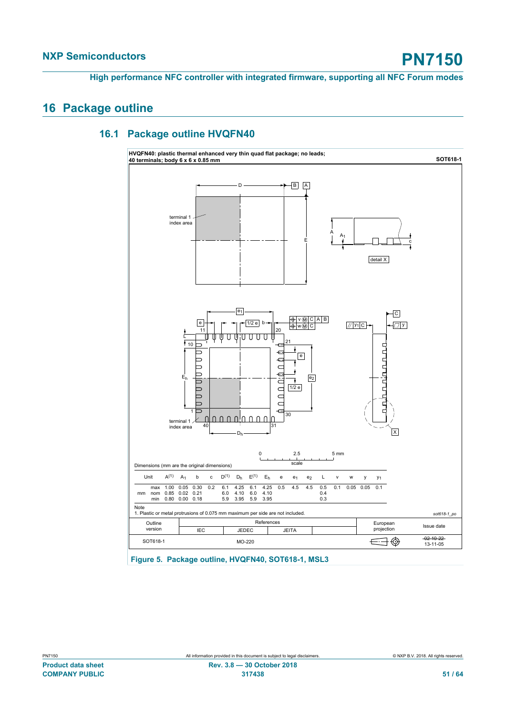### <span id="page-50-1"></span>**16 Package outline**

### **16.1 Package outline HVQFN40**

<span id="page-50-2"></span><span id="page-50-0"></span>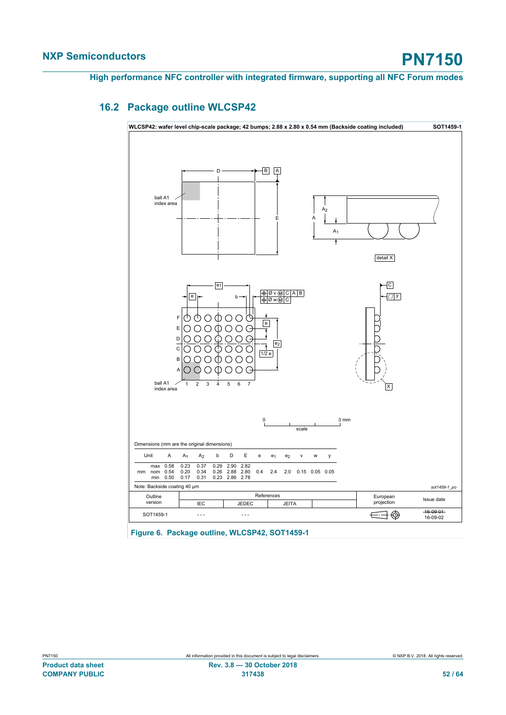### **16.2 Package outline WLCSP42**

<span id="page-51-1"></span><span id="page-51-0"></span>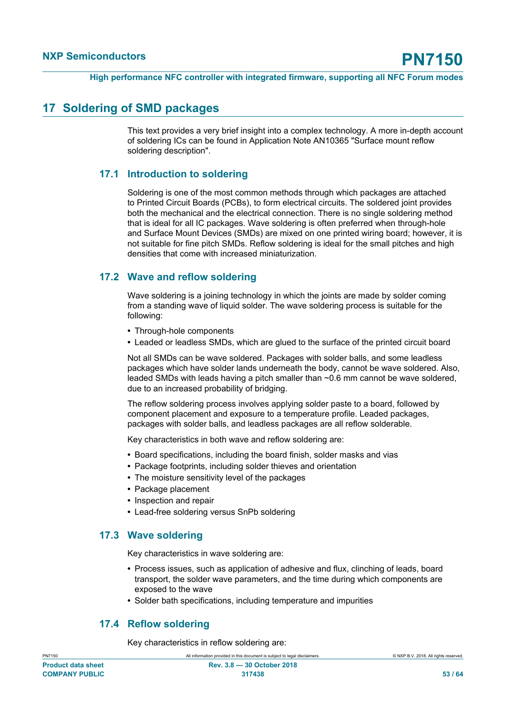### <span id="page-52-0"></span>**17 Soldering of SMD packages**

This text provides a very brief insight into a complex technology. A more in-depth account of soldering ICs can be found in Application Note AN10365 "Surface mount reflow soldering description".

### **17.1 Introduction to soldering**

<span id="page-52-1"></span>Soldering is one of the most common methods through which packages are attached to Printed Circuit Boards (PCBs), to form electrical circuits. The soldered joint provides both the mechanical and the electrical connection. There is no single soldering method that is ideal for all IC packages. Wave soldering is often preferred when through-hole and Surface Mount Devices (SMDs) are mixed on one printed wiring board; however, it is not suitable for fine pitch SMDs. Reflow soldering is ideal for the small pitches and high densities that come with increased miniaturization.

### **17.2 Wave and reflow soldering**

<span id="page-52-2"></span>Wave soldering is a joining technology in which the joints are made by solder coming from a standing wave of liquid solder. The wave soldering process is suitable for the following:

- **•** Through-hole components
- **•** Leaded or leadless SMDs, which are glued to the surface of the printed circuit board

Not all SMDs can be wave soldered. Packages with solder balls, and some leadless packages which have solder lands underneath the body, cannot be wave soldered. Also, leaded SMDs with leads having a pitch smaller than ~0.6 mm cannot be wave soldered, due to an increased probability of bridging.

The reflow soldering process involves applying solder paste to a board, followed by component placement and exposure to a temperature profile. Leaded packages, packages with solder balls, and leadless packages are all reflow solderable.

Key characteristics in both wave and reflow soldering are:

- **•** Board specifications, including the board finish, solder masks and vias
- **•** Package footprints, including solder thieves and orientation
- **•** The moisture sensitivity level of the packages
- **•** Package placement
- **•** Inspection and repair
- <span id="page-52-3"></span>**•** Lead-free soldering versus SnPb soldering

### **17.3 Wave soldering**

Key characteristics in wave soldering are:

- **•** Process issues, such as application of adhesive and flux, clinching of leads, board transport, the solder wave parameters, and the time during which components are exposed to the wave
- <span id="page-52-4"></span>**•** Solder bath specifications, including temperature and impurities

### **17.4 Reflow soldering**

Key characteristics in reflow soldering are: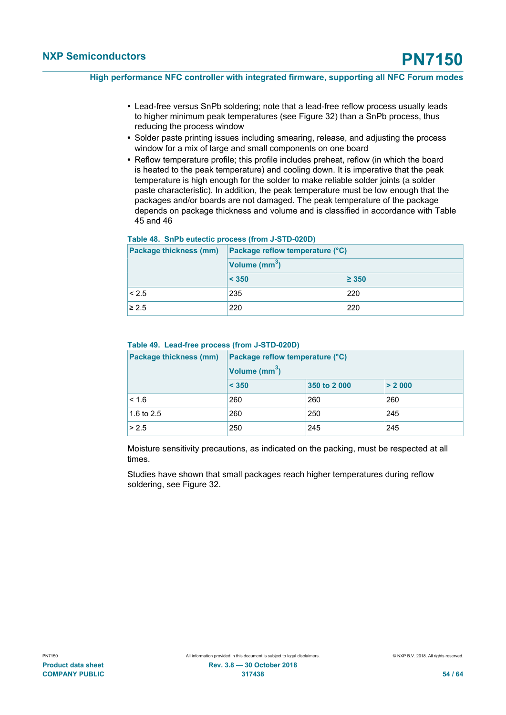- **•** Lead-free versus SnPb soldering; note that a lead-free reflow process usually leads to higher minimum peak temperatures (see Figure 32) than a SnPb process, thus reducing the process window
- **•** Solder paste printing issues including smearing, release, and adjusting the process window for a mix of large and small components on one board
- **•** Reflow temperature profile; this profile includes preheat, reflow (in which the board is heated to the peak temperature) and cooling down. It is imperative that the peak temperature is high enough for the solder to make reliable solder joints (a solder paste characteristic). In addition, the peak temperature must be low enough that the packages and/or boards are not damaged. The peak temperature of the package depends on package thickness and volume and is classified in accordance with Table 45 and 46

#### <span id="page-53-0"></span>**Table 48. SnPb eutectic process (from J-STD-020D)**

| Package thickness (mm) | Package reflow temperature (°C) |            |  |  |
|------------------------|---------------------------------|------------|--|--|
|                        | Volume (mm <sup>3</sup> )       |            |  |  |
|                        | < 350                           | $\geq 350$ |  |  |
| < 2.5                  | 235                             | 220        |  |  |
| $\geq 2.5$             | 220                             | 220        |  |  |

#### <span id="page-53-1"></span>**Table 49. Lead-free process (from J-STD-020D)**

| Package thickness (mm) | Package reflow temperature (°C) |              |        |  |  |
|------------------------|---------------------------------|--------------|--------|--|--|
|                        | Volume (mm <sup>3</sup> )       |              |        |  |  |
|                        | < 350                           | 350 to 2 000 | > 2000 |  |  |
| < 1.6                  | 260                             | 260          | 260    |  |  |
| 1.6 to 2.5             | 260                             | 250          | 245    |  |  |
| > 2.5                  | 250                             | 245          | 245    |  |  |

Moisture sensitivity precautions, as indicated on the packing, must be respected at all times.

Studies have shown that small packages reach higher temperatures during reflow soldering, see Figure 32.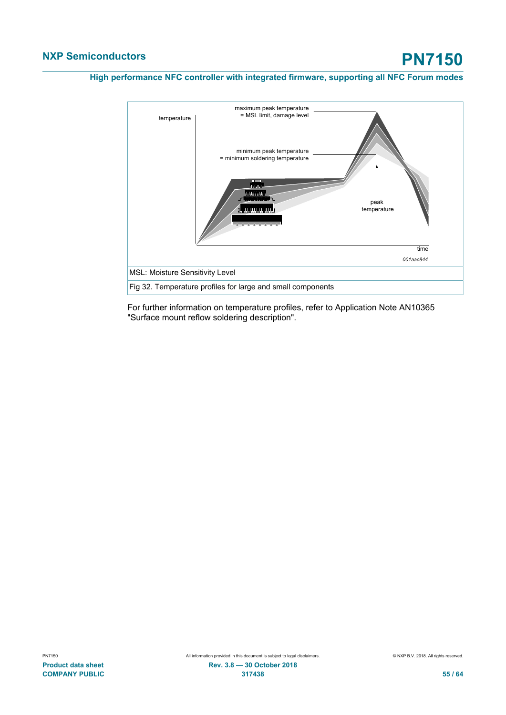

For further information on temperature profiles, refer to Application Note AN10365 "Surface mount reflow soldering description".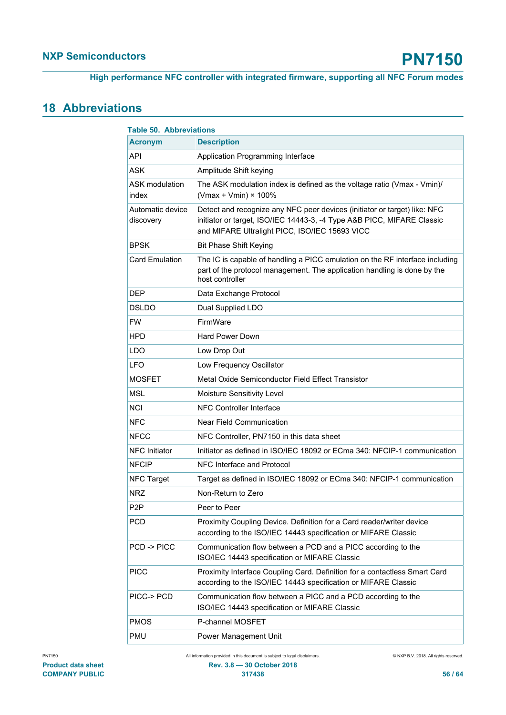## <span id="page-55-1"></span>**18 Abbreviations**

<span id="page-55-0"></span>

| <b>Table 50. Abbreviations</b> |                                                                                                                                                                                                       |
|--------------------------------|-------------------------------------------------------------------------------------------------------------------------------------------------------------------------------------------------------|
| <b>Acronym</b>                 | <b>Description</b>                                                                                                                                                                                    |
| API                            | Application Programming Interface                                                                                                                                                                     |
| <b>ASK</b>                     | Amplitude Shift keying                                                                                                                                                                                |
| ASK modulation<br>index        | The ASK modulation index is defined as the voltage ratio (Vmax - Vmin)/<br>(Vmax + Vmin) $\times$ 100%                                                                                                |
| Automatic device<br>discovery  | Detect and recognize any NFC peer devices (initiator or target) like: NFC<br>initiator or target, ISO/IEC 14443-3, -4 Type A&B PICC, MIFARE Classic<br>and MIFARE Ultralight PICC, ISO/IEC 15693 VICC |
| BPSK                           | <b>Bit Phase Shift Keying</b>                                                                                                                                                                         |
| <b>Card Emulation</b>          | The IC is capable of handling a PICC emulation on the RF interface including<br>part of the protocol management. The application handling is done by the<br>host controller                           |
| DEP                            | Data Exchange Protocol                                                                                                                                                                                |
| <b>DSLDO</b>                   | Dual Supplied LDO                                                                                                                                                                                     |
| <b>FW</b>                      | FirmWare                                                                                                                                                                                              |
| HPD                            | Hard Power Down                                                                                                                                                                                       |
| LDO                            | Low Drop Out                                                                                                                                                                                          |
| <b>LFO</b>                     | Low Frequency Oscillator                                                                                                                                                                              |
| <b>MOSFET</b>                  | Metal Oxide Semiconductor Field Effect Transistor                                                                                                                                                     |
| <b>MSL</b>                     | Moisture Sensitivity Level                                                                                                                                                                            |
| <b>NCI</b>                     | <b>NFC Controller Interface</b>                                                                                                                                                                       |
| <b>NFC</b>                     | Near Field Communication                                                                                                                                                                              |
| NFCC                           | NFC Controller, PN7150 in this data sheet                                                                                                                                                             |
| <b>NFC</b> Initiator           | Initiator as defined in ISO/IEC 18092 or ECma 340: NFCIP-1 communication                                                                                                                              |
| <b>NFCIP</b>                   | NFC Interface and Protocol                                                                                                                                                                            |
| <b>NFC Target</b>              | Target as defined in ISO/IEC 18092 or ECma 340: NFCIP-1 communication                                                                                                                                 |
| <b>NRZ</b>                     | Non-Return to Zero                                                                                                                                                                                    |
| P <sub>2</sub> P               | Peer to Peer                                                                                                                                                                                          |
| PCD                            | Proximity Coupling Device. Definition for a Card reader/writer device<br>according to the ISO/IEC 14443 specification or MIFARE Classic                                                               |
| PCD->PICC                      | Communication flow between a PCD and a PICC according to the<br>ISO/IEC 14443 specification or MIFARE Classic                                                                                         |
| <b>PICC</b>                    | Proximity Interface Coupling Card. Definition for a contactless Smart Card<br>according to the ISO/IEC 14443 specification or MIFARE Classic                                                          |
| PICC-> PCD                     | Communication flow between a PICC and a PCD according to the<br>ISO/IEC 14443 specification or MIFARE Classic                                                                                         |
| <b>PMOS</b>                    | P-channel MOSFET                                                                                                                                                                                      |
| PMU                            | Power Management Unit                                                                                                                                                                                 |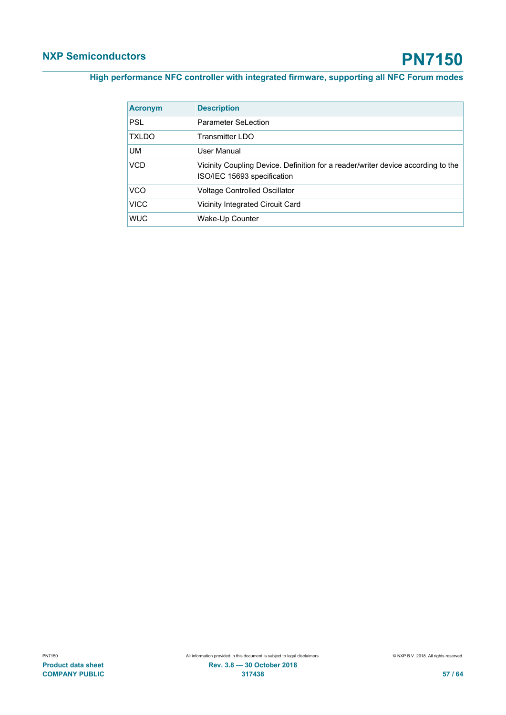| <b>Acronym</b> | <b>Description</b>                                                                                              |
|----------------|-----------------------------------------------------------------------------------------------------------------|
| <b>PSL</b>     | <b>Parameter SeLection</b>                                                                                      |
| <b>TXLDO</b>   | <b>Transmitter LDO</b>                                                                                          |
| <b>UM</b>      | User Manual                                                                                                     |
| VCD            | Vicinity Coupling Device. Definition for a reader/writer device according to the<br>ISO/IEC 15693 specification |
| VCO            | <b>Voltage Controlled Oscillator</b>                                                                            |
| <b>VICC</b>    | Vicinity Integrated Circuit Card                                                                                |
| <b>WUC</b>     | Wake-Up Counter                                                                                                 |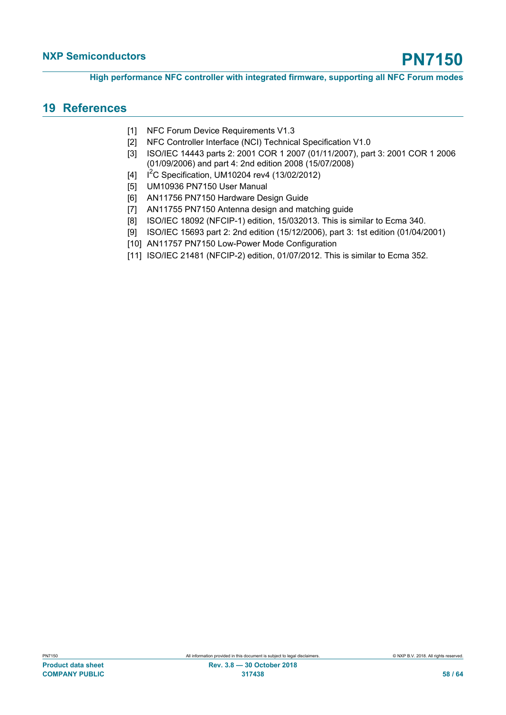### <span id="page-57-11"></span>**19 References**

- <span id="page-57-0"></span>[1] NFC Forum Device Requirements V1.3
- <span id="page-57-5"></span>[2] NFC Controller Interface (NCI) Technical Specification V1.0
- <span id="page-57-3"></span>[3] ISO/IEC 14443 parts 2: 2001 COR 1 2007 (01/11/2007), part 3: 2001 COR 1 2006 (01/09/2006) and part 4: 2nd edition 2008 (15/07/2008)
- <span id="page-57-6"></span>[4]  $I^2C$  Specification, UM10204 rev4 (13/02/2012)
- <span id="page-57-8"></span>[5] UM10936 PN7150 User Manual
- <span id="page-57-9"></span>[6] AN11756 PN7150 Hardware Design Guide
- <span id="page-57-10"></span>[7] AN11755 PN7150 Antenna design and matching guide
- <span id="page-57-1"></span>[8] ISO/IEC 18092 (NFCIP-1) edition, 15/032013. This is similar to Ecma 340.
- <span id="page-57-4"></span>[9] ISO/IEC 15693 part 2: 2nd edition (15/12/2006), part 3: 1st edition (01/04/2001)
- <span id="page-57-7"></span>[10] AN11757 PN7150 Low-Power Mode Configuration
- <span id="page-57-2"></span>[11] ISO/IEC 21481 (NFCIP-2) edition, 01/07/2012. This is similar to Ecma 352.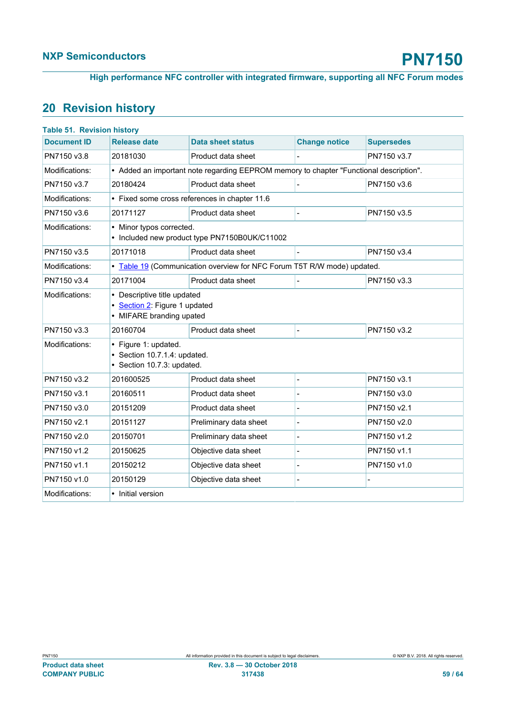<span id="page-58-0"></span>**High performance NFC controller with integrated firmware, supporting all NFC Forum modes**

## <span id="page-58-1"></span>**20 Revision history**

| <b>Release date</b>  | <b>Data sheet status</b>          | <b>Change notice</b>                                                                                                                                                                                                                                                                 | <b>Supersedes</b>                                                                                                                                                 |
|----------------------|-----------------------------------|--------------------------------------------------------------------------------------------------------------------------------------------------------------------------------------------------------------------------------------------------------------------------------------|-------------------------------------------------------------------------------------------------------------------------------------------------------------------|
| 20181030             | Product data sheet                |                                                                                                                                                                                                                                                                                      | PN7150 v3.7                                                                                                                                                       |
|                      |                                   |                                                                                                                                                                                                                                                                                      |                                                                                                                                                                   |
| 20180424             | Product data sheet                |                                                                                                                                                                                                                                                                                      | PN7150 v3.6                                                                                                                                                       |
|                      |                                   |                                                                                                                                                                                                                                                                                      |                                                                                                                                                                   |
| 20171127             | Product data sheet                |                                                                                                                                                                                                                                                                                      | PN7150 v3.5                                                                                                                                                       |
|                      |                                   |                                                                                                                                                                                                                                                                                      |                                                                                                                                                                   |
| 20171018             | Product data sheet                |                                                                                                                                                                                                                                                                                      | PN7150 v3.4                                                                                                                                                       |
|                      |                                   |                                                                                                                                                                                                                                                                                      |                                                                                                                                                                   |
| 20171004             | Product data sheet                |                                                                                                                                                                                                                                                                                      | PN7150 v3.3                                                                                                                                                       |
|                      |                                   |                                                                                                                                                                                                                                                                                      |                                                                                                                                                                   |
| 20160704             | Product data sheet                |                                                                                                                                                                                                                                                                                      | PN7150 v3.2                                                                                                                                                       |
| • Figure 1: updated. |                                   |                                                                                                                                                                                                                                                                                      |                                                                                                                                                                   |
| 201600525            | Product data sheet                |                                                                                                                                                                                                                                                                                      | PN7150 v3.1                                                                                                                                                       |
| 20160511             | Product data sheet                |                                                                                                                                                                                                                                                                                      | PN7150 v3.0                                                                                                                                                       |
| 20151209             | Product data sheet                |                                                                                                                                                                                                                                                                                      | PN7150 v2.1                                                                                                                                                       |
| 20151127             | Preliminary data sheet            |                                                                                                                                                                                                                                                                                      | PN7150 v2.0                                                                                                                                                       |
| 20150701             | Preliminary data sheet            | $\overline{a}$                                                                                                                                                                                                                                                                       | PN7150 v1.2                                                                                                                                                       |
| 20150625             | Objective data sheet              |                                                                                                                                                                                                                                                                                      | PN7150 v1.1                                                                                                                                                       |
| 20150212             | Objective data sheet              |                                                                                                                                                                                                                                                                                      | PN7150 v1.0                                                                                                                                                       |
| 20150129             | Objective data sheet              |                                                                                                                                                                                                                                                                                      | L,                                                                                                                                                                |
| • Initial version    |                                   |                                                                                                                                                                                                                                                                                      |                                                                                                                                                                   |
|                      | <b>Table 51. Revision history</b> | • Fixed some cross references in chapter 11.6<br>• Minor typos corrected.<br>• Included new product type PN7150B0UK/C11002<br>• Descriptive title updated<br>• Section 2: Figure 1 updated<br>• MIFARE branding upated<br>• Section 10.7.1.4: updated.<br>• Section 10.7.3: updated. | • Added an important note regarding EEPROM memory to chapter "Functional description".<br>• Table 19 (Communication overview for NFC Forum T5T R/W mode) updated. |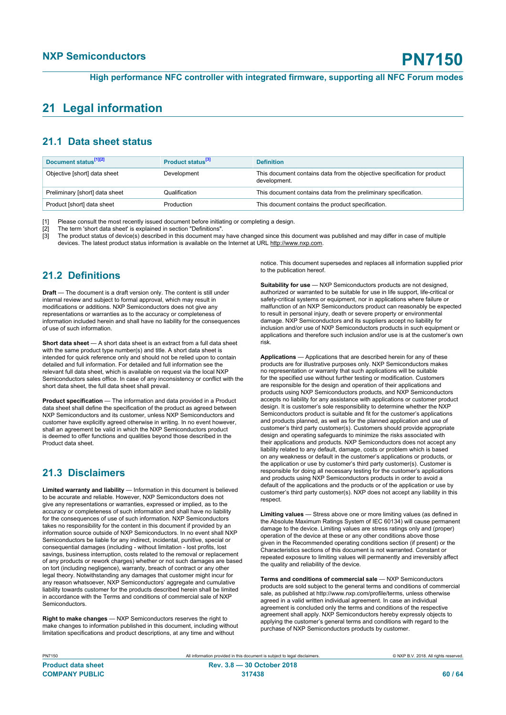### <span id="page-59-0"></span>**21 Legal information**

### **21.1 Data sheet status**

| Document status <sup>[1][2]</sup> | Product status <sup>[3]</sup> | <b>Definition</b>                                                                        |
|-----------------------------------|-------------------------------|------------------------------------------------------------------------------------------|
| Objective [short] data sheet      | Development                   | This document contains data from the objective specification for product<br>development. |
| Preliminary [short] data sheet    | Qualification                 | This document contains data from the preliminary specification.                          |
| Product [short] data sheet        | Production                    | This document contains the product specification.                                        |

[1] Please consult the most recently issued document before initiating or completing a design.<br>[2] The term 'short data sheet' is explained in section "Definitions".

[2] The term 'short data sheet' is explained in section "Definitions".<br>[3] The product status of device(s) described in this document may

The product status of device(s) described in this document may have changed since this document was published and may differ in case of multiple devices. The latest product status information is available on the Internet at URL http://www.nxp.com.

### **21.2 Definitions**

**Draft** — The document is a draft version only. The content is still under internal review and subject to formal approval, which may result in modifications or additions. NXP Semiconductors does not give any representations or warranties as to the accuracy or completeness of information included herein and shall have no liability for the consequences of use of such information.

**Short data sheet** — A short data sheet is an extract from a full data sheet with the same product type number(s) and title. A short data sheet is intended for quick reference only and should not be relied upon to contain detailed and full information. For detailed and full information see the relevant full data sheet, which is available on request via the local NXP Semiconductors sales office. In case of any inconsistency or conflict with the short data sheet, the full data sheet shall prevail.

**Product specification** — The information and data provided in a Product data sheet shall define the specification of the product as agreed between NXP Semiconductors and its customer, unless NXP Semiconductors and customer have explicitly agreed otherwise in writing. In no event however, shall an agreement be valid in which the NXP Semiconductors product is deemed to offer functions and qualities beyond those described in the Product data sheet.

### **21.3 Disclaimers**

**Limited warranty and liability** — Information in this document is believed to be accurate and reliable. However, NXP Semiconductors does not give any representations or warranties, expressed or implied, as to the accuracy or completeness of such information and shall have no liability for the consequences of use of such information. NXP Semiconductors takes no responsibility for the content in this document if provided by an information source outside of NXP Semiconductors. In no event shall NXP Semiconductors be liable for any indirect, incidental, punitive, special or consequential damages (including - without limitation - lost profits, lost savings, business interruption, costs related to the removal or replacement of any products or rework charges) whether or not such damages are based on tort (including negligence), warranty, breach of contract or any other legal theory. Notwithstanding any damages that customer might incur for any reason whatsoever, NXP Semiconductors' aggregate and cumulative liability towards customer for the products described herein shall be limited in accordance with the Terms and conditions of commercial sale of NXP **Semiconductors** 

**Right to make changes** — NXP Semiconductors reserves the right to make changes to information published in this document, including without limitation specifications and product descriptions, at any time and without

notice. This document supersedes and replaces all information supplied prior to the publication hereof.

**Suitability for use** — NXP Semiconductors products are not designed, authorized or warranted to be suitable for use in life support, life-critical or safety-critical systems or equipment, nor in applications where failure or malfunction of an NXP Semiconductors product can reasonably be expected to result in personal injury, death or severe property or environmental damage. NXP Semiconductors and its suppliers accept no liability for inclusion and/or use of NXP Semiconductors products in such equipment or applications and therefore such inclusion and/or use is at the customer's own risk.

**Applications** — Applications that are described herein for any of these products are for illustrative purposes only. NXP Semiconductors makes no representation or warranty that such applications will be suitable for the specified use without further testing or modification. Customers are responsible for the design and operation of their applications and products using NXP Semiconductors products, and NXP Semiconductors accepts no liability for any assistance with applications or customer product design. It is customer's sole responsibility to determine whether the NXP Semiconductors product is suitable and fit for the customer's applications and products planned, as well as for the planned application and use of customer's third party customer(s). Customers should provide appropriate design and operating safeguards to minimize the risks associated with their applications and products. NXP Semiconductors does not accept any liability related to any default, damage, costs or problem which is based on any weakness or default in the customer's applications or products, or the application or use by customer's third party customer(s). Customer is responsible for doing all necessary testing for the customer's applications and products using NXP Semiconductors products in order to avoid a default of the applications and the products or of the application or use by customer's third party customer(s). NXP does not accept any liability in this respect.

**Limiting values** — Stress above one or more limiting values (as defined in the Absolute Maximum Ratings System of IEC 60134) will cause permanent damage to the device. Limiting values are stress ratings only and (proper) operation of the device at these or any other conditions above those given in the Recommended operating conditions section (if present) or the Characteristics sections of this document is not warranted. Constant or repeated exposure to limiting values will permanently and irreversibly affect the quality and reliability of the device.

**Terms and conditions of commercial sale** — NXP Semiconductors products are sold subject to the general terms and conditions of commercial sale, as published at http://www.nxp.com/profile/terms, unless otherwise agreed in a valid written individual agreement. In case an individual agreement is concluded only the terms and conditions of the respective agreement shall apply. NXP Semiconductors hereby expressly objects to applying the customer's general terms and conditions with regard to the purchase of NXP Semiconductors products by customer.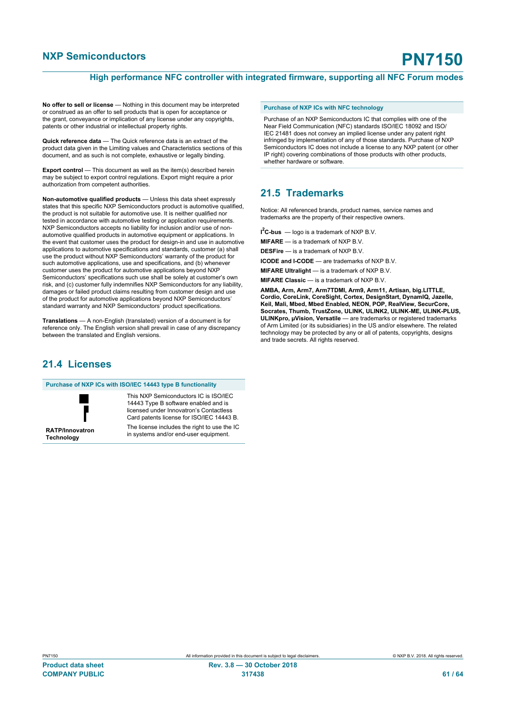#### **High performance NFC controller with integrated firmware, supporting all NFC Forum modes**

**No offer to sell or license** — Nothing in this document may be interpreted or construed as an offer to sell products that is open for acceptance or the grant, conveyance or implication of any license under any copyrights, patents or other industrial or intellectual property rights.

**Quick reference data** — The Quick reference data is an extract of the product data given in the Limiting values and Characteristics sections of this document, and as such is not complete, exhaustive or legally binding.

**Export control** — This document as well as the item(s) described herein may be subject to export control regulations. Export might require a prior authorization from competent authorities.

**Non-automotive qualified products** — Unless this data sheet expressly states that this specific NXP Semiconductors product is automotive qualified, the product is not suitable for automotive use. It is neither qualified nor tested in accordance with automotive testing or application requirements. NXP Semiconductors accepts no liability for inclusion and/or use of nonautomotive qualified products in automotive equipment or applications. In the event that customer uses the product for design-in and use in automotive applications to automotive specifications and standards, customer (a) shall use the product without NXP Semiconductors' warranty of the product for such automotive applications, use and specifications, and (b) whenever customer uses the product for automotive applications beyond NXP Semiconductors' specifications such use shall be solely at customer's own risk, and (c) customer fully indemnifies NXP Semiconductors for any liability, damages or failed product claims resulting from customer design and use of the product for automotive applications beyond NXP Semiconductors' standard warranty and NXP Semiconductors' product specifications.

**Translations** — A non-English (translated) version of a document is for reference only. The English version shall prevail in case of any discrepancy between the translated and English versions.

### **21.4 Licenses**

**Purchase of NXP ICs with ISO/IEC 14443 type B functionality**



**RATP/Innovatron Technology**

This NXP Semiconductors IC is ISO/IEC 14443 Type B software enabled and is licensed under Innovatron's Contactless Card patents license for ISO/IEC 14443 B. The license includes the right to use the IC

in systems and/or end-user equipment.

#### **Purchase of NXP ICs with NFC technology**

Purchase of an NXP Semiconductors IC that complies with one of the Near Field Communication (NFC) standards ISO/IEC 18092 and ISO/ IEC 21481 does not convey an implied license under any patent right infringed by implementation of any of those standards. Purchase of NXP Semiconductors IC does not include a license to any NXP patent (or other IP right) covering combinations of those products with other products, whether hardware or software.

#### **21.5 Trademarks**

Notice: All referenced brands, product names, service names and trademarks are the property of their respective owners.

**I <sup>2</sup>C-bus** — logo is a trademark of NXP B.V.

**MIFARE** — is a trademark of NXP B.V.

**DESFire** — is a trademark of NXP B.V.

**ICODE and I-CODE** — are trademarks of NXP B.V.

**MIFARE Ultralight** — is a trademark of NXP B.V.

**MIFARE Classic** — is a trademark of NXP B.V.

**AMBA, Arm, Arm7, Arm7TDMI, Arm9, Arm11, Artisan, big.LITTLE, Cordio, CoreLink, CoreSight, Cortex, DesignStart, DynamIQ, Jazelle, Keil, Mali, Mbed, Mbed Enabled, NEON, POP, RealView, SecurCore, Socrates, Thumb, TrustZone, ULINK, ULINK2, ULINK-ME, ULINK-PLUS, ULINKpro, µVision, Versatile** — are trademarks or registered trademarks of Arm Limited (or its subsidiaries) in the US and/or elsewhere. The related technology may be protected by any or all of patents, copyrights, designs and trade secrets. All rights reserved.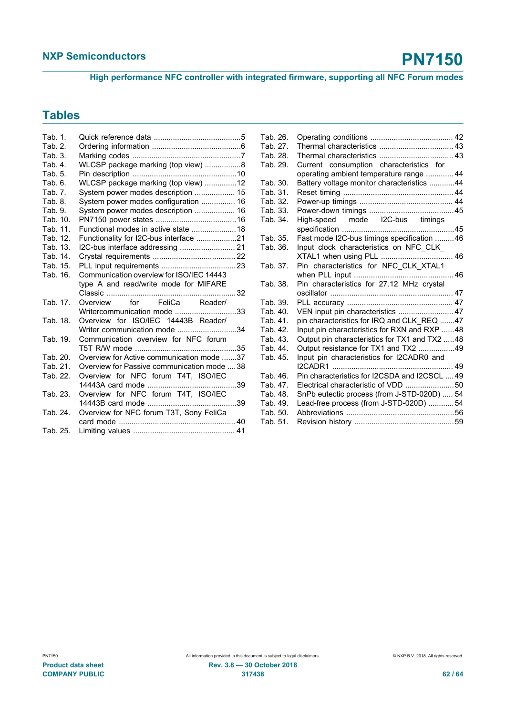**High performance NFC controller with integrated firmware, supporting all NFC Forum modes**

## **Tables**

| Tab. 1.  |                                             |
|----------|---------------------------------------------|
| Tab. 2.  |                                             |
| Tab. 3.  |                                             |
| Tab. 4.  | WLCSP package marking (top view) 8          |
| Tab. 5.  |                                             |
| Tab. 6.  | WLCSP package marking (top view) 12         |
| Tab. 7.  | System power modes description  15          |
| Tab. 8.  | System power modes configuration  16        |
| Tab. 9.  | System power modes description  16          |
| Tab. 10. |                                             |
| Tab. 11. |                                             |
| Tab. 12. | Functionality for I2C-bus interface 21      |
| Tab. 13. |                                             |
| Tab. 14. |                                             |
| Tab. 15. |                                             |
| Tab. 16. | Communication overview for ISO/IEC 14443    |
|          | type A and read/write mode for MIFARE       |
|          |                                             |
| Tab. 17. | Overview for FeliCa Reader/                 |
|          | Writercommunication mode 33                 |
| Tab. 18. | Overview for ISO/IEC 14443B Reader/         |
|          | Writer communication mode 34                |
| Tab. 19. | Communication overview for NFC forum        |
|          |                                             |
| Tab. 20. | Overview for Active communication mode 37   |
| Tab. 21. | Overview for Passive communication mode  38 |
| Tab. 22. | Overview for NFC forum T4T, ISO/IEC         |
|          |                                             |
| Tab. 23. | Overview for NFC forum T4T, ISO/IEC         |
|          |                                             |
| Tab. 24. | Overview for NFC forum T3T, Sony FeliCa     |
|          |                                             |
| Tab. 25. |                                             |

| Tab. 26. |                                               |  |
|----------|-----------------------------------------------|--|
| Tab. 27. |                                               |  |
| Tab. 28. |                                               |  |
| Tab. 29. | Current consumption characteristics for       |  |
|          | operating ambient temperature range  44       |  |
| Tab. 30. | Battery voltage monitor characteristics 44    |  |
| Tab. 31. |                                               |  |
| Tab. 32. |                                               |  |
| Tab. 33. |                                               |  |
| Tab. 34. | High-speed mode I2C-bus timings               |  |
|          |                                               |  |
| Tab. 35. | Fast mode I2C-bus timings specification 46    |  |
| Tab. 36. | Input clock characteristics on NFC_CLK_       |  |
|          |                                               |  |
| Tab. 37. | Pin characteristics for NFC_CLK_XTAL1         |  |
|          |                                               |  |
| Tab. 38. | Pin characteristics for 27.12 MHz crystal     |  |
|          |                                               |  |
| Tab. 39. |                                               |  |
| Tab. 40. | VEN input pin characteristics  47             |  |
| Tab. 41. | pin characteristics for IRQ and CLK_REQ 47    |  |
| Tab. 42. | Input pin characteristics for RXN and RXP 48  |  |
| Tab. 43. | Output pin characteristics for TX1 and TX2 48 |  |
| Tab. 44. | Output resistance for TX1 and TX2 49          |  |
| Tab. 45. | Input pin characteristics for I2CADR0 and     |  |
|          |                                               |  |
| Tab. 46. | Pin characteristics for I2CSDA and I2CSCL  49 |  |
| Tab. 47. | Electrical characteristic of VDD 50           |  |
| Tab. 48. | SnPb eutectic process (from J-STD-020D)  54   |  |
| Tab. 49. | Lead-free process (from J-STD-020D) 54        |  |
| Tab. 50. |                                               |  |
| Tab. 51. |                                               |  |
|          |                                               |  |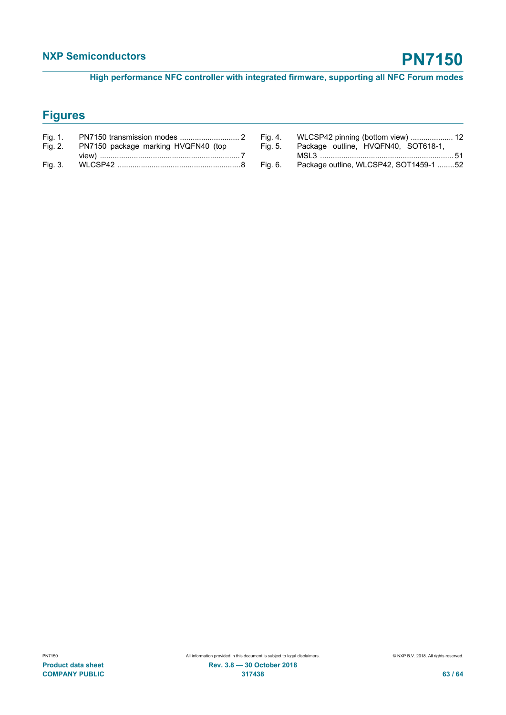**High performance NFC controller with integrated firmware, supporting all NFC Forum modes**

# **Figures**

| Fig. 1. |                                     |  |
|---------|-------------------------------------|--|
| Fig. 2. | PN7150 package marking HVQFN40 (top |  |
|         |                                     |  |
| Fig. 3. |                                     |  |

| Fig. 4. | WLCSP42 pinning (bottom view)  12      |
|---------|----------------------------------------|
| Fig. 5. | Package outline, HVQFN40, SOT618-1,    |
|         |                                        |
| Fig. 6. | Package outline, WLCSP42, SOT1459-1 52 |